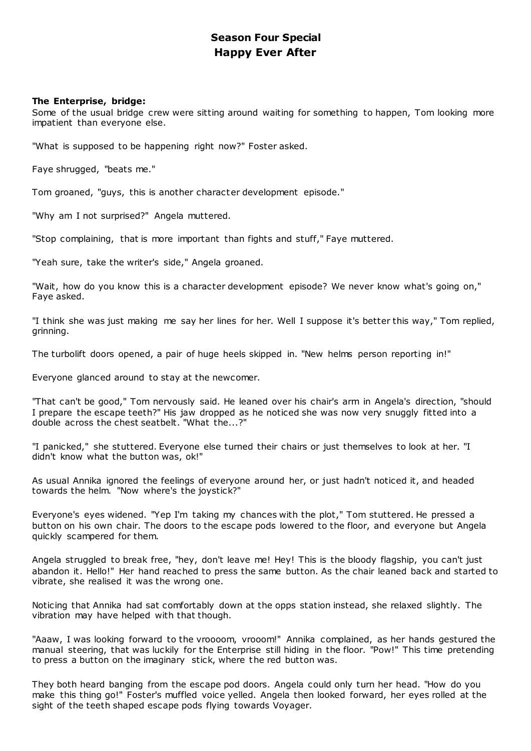# **Season Four Special Happy Ever After**

# **The Enterprise, bridge:**

Some of the usual bridge crew were sitting around waiting for something to happen, Tom looking more impatient than everyone else.

"What is supposed to be happening right now?" Foster asked.

Faye shrugged, "beats me."

Tom groaned, "guys, this is another character development episode."

"Why am I not surprised?" Angela muttered.

"Stop complaining, that is more important than fights and stuff," Faye muttered.

"Yeah sure, take the writer's side," Angela groaned.

"Wait, how do you know this is a character development episode? We never know what's going on," Faye asked.

"I think she was just making me say her lines for her. Well I suppose it's better this way," Tom replied, grinning.

The turbolift doors opened, a pair of huge heels skipped in. "New helms person reporting in!"

Everyone glanced around to stay at the newcomer.

"That can't be good," Tom nervously said. He leaned over his chair's arm in Angela's direction, "should I prepare the escape teeth?" His jaw dropped as he noticed she was now very snuggly fitted into a double across the chest seatbelt. "What the...?"

"I panicked," she stuttered. Everyone else turned their chairs or just themselves to look at her. "I didn't know what the button was, ok!"

As usual Annika ignored the feelings of everyone around her, or just hadn't noticed it, and headed towards the helm. "Now where's the joystick?"

Everyone's eyes widened. "Yep I'm taking my chances with the plot," Tom stuttered. He pressed a button on his own chair. The doors to the escape pods lowered to the floor, and everyone but Angela quickly scampered for them.

Angela struggled to break free, "hey, don't leave me! Hey! This is the bloody flagship, you can't just abandon it. Hello!" Her hand reached to press the same button. As the chair leaned back and started to vibrate, she realised it was the wrong one.

Noticing that Annika had sat comfortably down at the opps station instead, she relaxed slightly. The vibration may have helped with that though.

"Aaaw, I was looking forward to the vroooom, vrooom!" Annika complained, as her hands gestured the manual steering, that was luckily for the Enterprise still hiding in the floor. "Pow!" This time pretending to press a button on the imaginary stick, where the red button was.

They both heard banging from the escape pod doors. Angela could only turn her head. "How do you make this thing go!" Foster's muffled voice yelled. Angela then looked forward, her eyes rolled at the sight of the teeth shaped escape pods flying towards Voyager.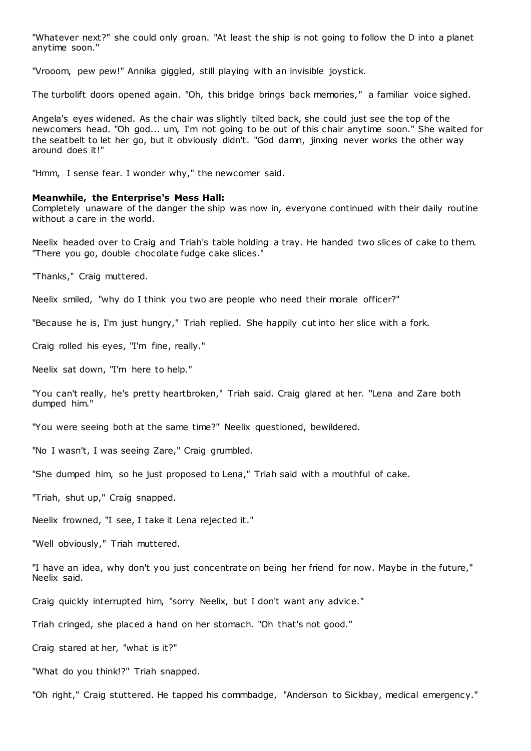"Whatever next?" she could only groan. "At least the ship is not going to follow the D into a planet anytime soon."

"Vrooom, pew pew!" Annika giggled, still playing with an invisible joystick.

The turbolift doors opened again. "Oh, this bridge brings back memories," a familiar voice sighed.

Angela's eyes widened. As the chair was slightly tilted back, she could just see the top of the newcomers head. "Oh god... um, I'm not going to be out of this chair anytime soon." She waited for the seatbelt to let her go, but it obviously didn't. "God damn, jinxing never works the other way around does it!"

"Hmm, I sense fear. I wonder why," the newcomer said.

### **Meanwhile, the Enterprise's Mess Hall:**

Completely unaware of the danger the ship was now in, everyone continued with their daily routine without a care in the world.

Neelix headed over to Craig and Triah's table holding a tray. He handed two slices of cake to them. "There you go, double chocolate fudge cake slices."

"Thanks," Craig muttered.

Neelix smiled, "why do I think you two are people who need their morale officer?"

"Because he is, I'm just hungry," Triah replied. She happily cut into her slice with a fork.

Craig rolled his eyes, "I'm fine, really."

Neelix sat down, "I'm here to help."

"You can't really, he's pretty heartbroken," Triah said. Craig glared at her. "Lena and Zare both dumped him."

"You were seeing both at the same time?" Neelix questioned, bewildered.

"No I wasn't, I was seeing Zare," Craig grumbled.

"She dumped him, so he just proposed to Lena," Triah said with a mouthful of cake.

"Triah, shut up," Craig snapped.

Neelix frowned, "I see, I take it Lena rejected it."

"Well obviously," Triah muttered.

"I have an idea, why don't you just concentrate on being her friend for now. Maybe in the future," Neelix said.

Craig quickly interrupted him, "sorry Neelix, but I don't want any advice."

Triah cringed, she placed a hand on her stomach. "Oh that's not good."

Craig stared at her, "what is it?"

"What do you think!?" Triah snapped.

"Oh right," Craig stuttered. He tapped his commbadge, "Anderson to Sickbay, medical emergency."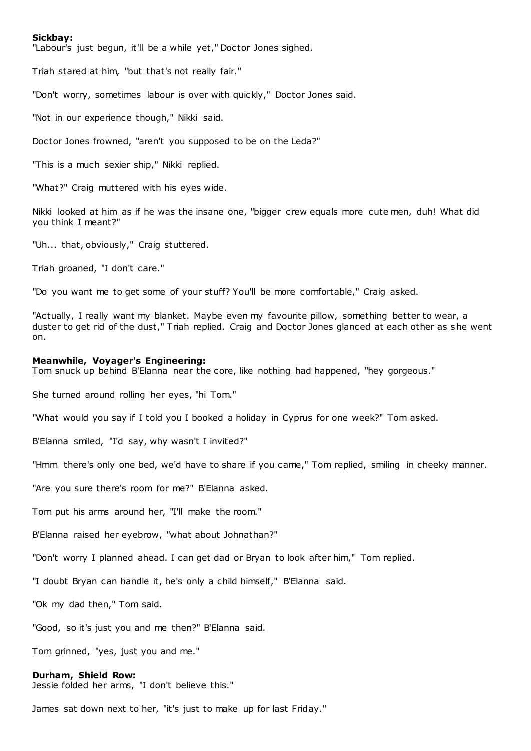### **Sickbay:**

"Labour's just begun, it'll be a while yet," Doctor Jones sighed.

Triah stared at him, "but that's not really fair."

"Don't worry, sometimes labour is over with quickly," Doctor Jones said.

"Not in our experience though," Nikki said.

Doctor Jones frowned, "aren't you supposed to be on the Leda?"

"This is a much sexier ship," Nikki replied.

"What?" Craig muttered with his eyes wide.

Nikki looked at him as if he was the insane one, "bigger crew equals more cute men, duh! What did you think I meant?"

"Uh... that, obviously," Craig stuttered.

Triah groaned, "I don't care."

"Do you want me to get some of your stuff? You'll be more comfortable," Craig asked.

"Actually, I really want my blanket. Maybe even my favourite pillow, something better to wear, a duster to get rid of the dust," Triah replied. Craig and Doctor Jones glanced at each other as she went on.

### **Meanwhile, Voyager's Engineering:**

Tom snuck up behind B'Elanna near the core, like nothing had happened, "hey gorgeous."

She turned around rolling her eyes, "hi Tom."

"What would you say if I told you I booked a holiday in Cyprus for one week?" Tom asked.

B'Elanna smiled, "I'd say, why wasn't I invited?"

"Hmm there's only one bed, we'd have to share if you came," Tom replied, smiling in cheeky manner.

"Are you sure there's room for me?" B'Elanna asked.

Tom put his arms around her, "I'll make the room."

B'Elanna raised her eyebrow, "what about Johnathan?"

"Don't worry I planned ahead. I can get dad or Bryan to look after him," Tom replied.

"I doubt Bryan can handle it, he's only a child himself," B'Elanna said.

"Ok my dad then," Tom said.

"Good, so it's just you and me then?" B'Elanna said.

Tom grinned, "yes, just you and me."

#### **Durham, Shield Row:**

Jessie folded her arms, "I don't believe this."

James sat down next to her, "it's just to make up for last Friday."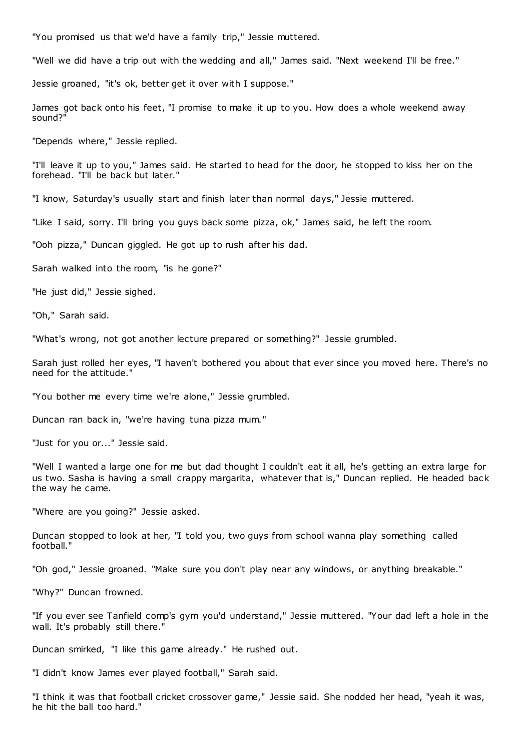"You promised us that we'd have a family trip," Jessie muttered.

"Well we did have a trip out with the wedding and all," James said. "Next weekend I'll be free."

Jessie groaned, "it's ok, better get it over with I suppose."

James got back onto his feet, "I promise to make it up to you. How does a whole weekend away sound?"

"Depends where," Jessie replied.

"I'll leave it up to you," James said. He started to head for the door, he stopped to kiss her on the forehead. "I'll be back but later."

"I know, Saturday's usually start and finish later than normal days," Jessie muttered.

"Like I said, sorry. I'll bring you guys back some pizza, ok," James said, he left the room.

"Ooh pizza," Duncan giggled. He got up to rush after his dad.

Sarah walked into the room, "is he gone?"

"He just did," Jessie sighed.

"Oh," Sarah said.

"What's wrong, not got another lecture prepared or something?" Jessie grumbled.

Sarah just rolled her eyes, "I haven't bothered you about that ever since you moved here. There's no need for the attitude."

"You bother me every time we're alone," Jessie grumbled.

Duncan ran back in, "we're having tuna pizza mum."

"Just for you or..." Jessie said.

"Well I wanted a large one for me but dad thought I couldn't eat it all, he's getting an extra large for us two. Sasha is having a small crappy margarita, whatever that is," Duncan replied. He headed back the way he came.

"Where are you going?" Jessie asked.

Duncan stopped to look at her, "I told you, two guys from school wanna play something called football."

"Oh god," Jessie groaned. "Make sure you don't play near any windows, or anything breakable."

"Why?" Duncan frowned.

"If you ever see Tanfield comp's gym you'd understand," Jessie muttered. "Your dad left a hole in the wall. It's probably still there."

Duncan smirked, "I like this game already." He rushed out.

"I didn't know James ever played football," Sarah said.

"I think it was that football cricket crossover game," Jessie said. She nodded her head, "yeah it was, he hit the ball too hard."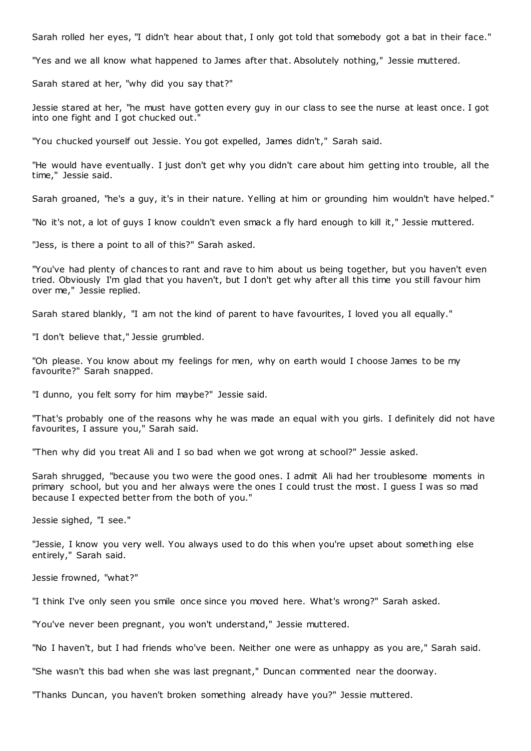Sarah rolled her eyes, "I didn't hear about that, I only got told that somebody got a bat in their face."

"Yes and we all know what happened to James after that. Absolutely nothing," Jessie muttered.

Sarah stared at her, "why did you say that?"

Jessie stared at her, "he must have gotten every guy in our class to see the nurse at least once. I got into one fight and I got chucked out."

"You chucked yourself out Jessie. You got expelled, James didn't," Sarah said.

"He would have eventually. I just don't get why you didn't care about him getting into trouble, all the time," Jessie said.

Sarah groaned, "he's a guy, it's in their nature. Yelling at him or grounding him wouldn't have helped."

"No it's not, a lot of guys I know couldn't even smack a fly hard enough to kill it," Jessie muttered.

"Jess, is there a point to all of this?" Sarah asked.

"You've had plenty of chances to rant and rave to him about us being together, but you haven't even tried. Obviously I'm glad that you haven't, but I don't get why after all this time you still favour him over me," Jessie replied.

Sarah stared blankly, "I am not the kind of parent to have favourites, I loved you all equally."

"I don't believe that," Jessie grumbled.

"Oh please. You know about my feelings for men, why on earth would I choose James to be my favourite?" Sarah snapped.

"I dunno, you felt sorry for him maybe?" Jessie said.

"That's probably one of the reasons why he was made an equal with you girls. I definitely did not have favourites, I assure you," Sarah said.

"Then why did you treat Ali and I so bad when we got wrong at school?" Jessie asked.

Sarah shrugged, "because you two were the good ones. I admit Ali had her troublesome moments in primary school, but you and her always were the ones I could trust the most. I guess I was so mad because I expected better from the both of you."

Jessie sighed, "I see."

"Jessie, I know you very well. You always used to do this when you're upset about something else entirely," Sarah said.

Jessie frowned, "what?"

"I think I've only seen you smile once since you moved here. What's wrong?" Sarah asked.

"You've never been pregnant, you won't understand," Jessie muttered.

"No I haven't, but I had friends who've been. Neither one were as unhappy as you are," Sarah said.

"She wasn't this bad when she was last pregnant," Duncan commented near the doorway.

"Thanks Duncan, you haven't broken something already have you?" Jessie muttered.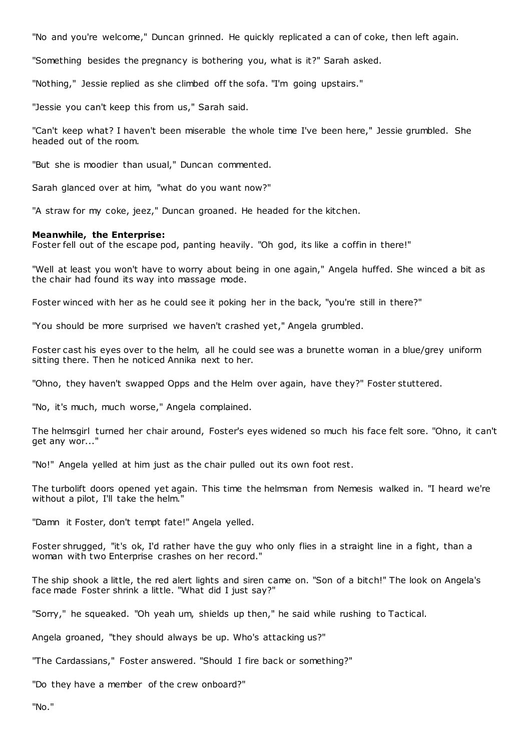"No and you're welcome," Duncan grinned. He quickly replicated a can of coke, then left again.

"Something besides the pregnancy is bothering you, what is it?" Sarah asked.

"Nothing," Jessie replied as she climbed off the sofa. "I'm going upstairs."

"Jessie you can't keep this from us," Sarah said.

"Can't keep what? I haven't been miserable the whole time I've been here," Jessie grumbled. She headed out of the room.

"But she is moodier than usual," Duncan commented.

Sarah glanced over at him, "what do you want now?"

"A straw for my coke, jeez," Duncan groaned. He headed for the kitchen.

# **Meanwhile, the Enterprise:**

Foster fell out of the escape pod, panting heavily. "Oh god, its like a coffin in there!"

"Well at least you won't have to worry about being in one again," Angela huffed. She winced a bit as the chair had found its way into massage mode.

Foster winced with her as he could see it poking her in the back, "you're still in there?"

"You should be more surprised we haven't crashed yet," Angela grumbled.

Foster cast his eyes over to the helm, all he could see was a brunette woman in a blue/grey uniform sitting there. Then he noticed Annika next to her.

"Ohno, they haven't swapped Opps and the Helm over again, have they?" Foster stuttered.

"No, it's much, much worse," Angela complained.

The helmsgirl turned her chair around, Foster's eyes widened so much his face felt sore. "Ohno, it can't get any wor..."

"No!" Angela yelled at him just as the chair pulled out its own foot rest.

The turbolift doors opened yet again. This time the helmsman from Nemesis walked in. "I heard we're without a pilot, I'll take the helm."

"Damn it Foster, don't tempt fate!" Angela yelled.

Foster shrugged, "it's ok, I'd rather have the guy who only flies in a straight line in a fight, than a woman with two Enterprise crashes on her record."

The ship shook a little, the red alert lights and siren came on. "Son of a bitch!" The look on Angela's face made Foster shrink a little. "What did I just say?"

"Sorry," he squeaked. "Oh yeah um, shields up then," he said while rushing to Tactical.

Angela groaned, "they should always be up. Who's attacking us?"

"The Cardassians," Foster answered. "Should I fire back or something?"

"Do they have a member of the crew onboard?"

"No."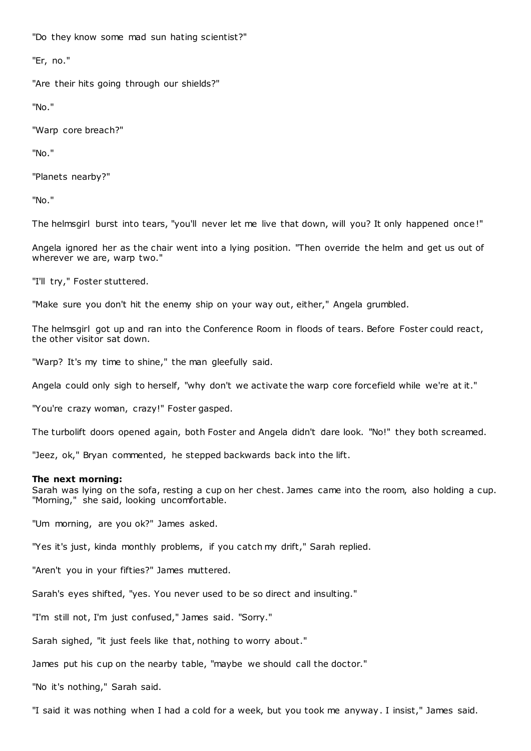"Do they know some mad sun hating scientist?"

"Er, no."

"Are their hits going through our shields?"

"No."

"Warp core breach?"

"No."

"Planets nearby?"

"No."

The helmsgirl burst into tears, "you'll never let me live that down, will you? It only happened once!"

Angela ignored her as the chair went into a lying position. "Then override the helm and get us out of wherever we are, warp two."

"I'll try," Foster stuttered.

"Make sure you don't hit the enemy ship on your way out, either," Angela grumbled.

The helmsgirl got up and ran into the Conference Room in floods of tears. Before Foster could react, the other visitor sat down.

"Warp? It's my time to shine," the man gleefully said.

Angela could only sigh to herself, "why don't we activate the warp core forcefield while we're at it."

"You're crazy woman, crazy!" Foster gasped.

The turbolift doors opened again, both Foster and Angela didn't dare look. "No!" they both screamed.

"Jeez, ok," Bryan commented, he stepped backwards back into the lift.

# **The next morning:**

Sarah was lying on the sofa, resting a cup on her chest. James came into the room, also holding a cup. "Morning," she said, looking uncomfortable.

"Um morning, are you ok?" James asked.

"Yes it's just, kinda monthly problems, if you catch my drift," Sarah replied.

"Aren't you in your fifties?" James muttered.

Sarah's eyes shifted, "yes. You never used to be so direct and insulting."

"I'm still not, I'm just confused," James said. "Sorry."

Sarah sighed, "it just feels like that, nothing to worry about."

James put his cup on the nearby table, "maybe we should call the doctor."

"No it's nothing," Sarah said.

"I said it was nothing when I had a cold for a week, but you took me anyway. I insist," James said.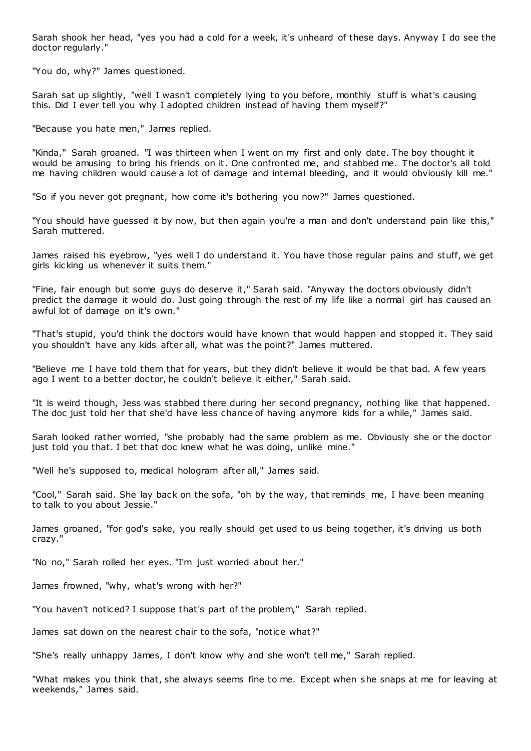Sarah shook her head, "yes you had a cold for a week, it's unheard of these days. Anyway I do see the doctor regularly."

"You do, why?" James questioned.

Sarah sat up slightly, "well I wasn't completely lying to you before, monthly stuff is what's causing this. Did I ever tell you why I adopted children instead of having them myself?"

"Because you hate men," James replied.

"Kinda," Sarah groaned. "I was thirteen when I went on my first and only date. The boy thought it would be amusing to bring his friends on it. One confronted me, and stabbed me. The doctor's all told me having children would cause a lot of damage and internal bleeding, and it would obviously kill me."

"So if you never got pregnant, how come it's bothering you now?" James questioned.

"You should have guessed it by now, but then again you're a man and don't understand pain like this," Sarah muttered.

James raised his eyebrow, "yes well I do understand it. You have those regular pains and stuff, we get girls kicking us whenever it suits them."

"Fine, fair enough but some guys do deserve it," Sarah said. "Anyway the doctors obviously didn't predict the damage it would do. Just going through the rest of my life like a normal girl has caused an awful lot of damage on it's own."

"That's stupid, you'd think the doctors would have known that would happen and stopped it. They said you shouldn't have any kids after all, what was the point?" James muttered.

"Believe me I have told them that for years, but they didn't believe it would be that bad. A few years ago I went to a better doctor, he couldn't believe it either," Sarah said.

"It is weird though, Jess was stabbed there during her second pregnancy, nothing like that happened. The doc just told her that she'd have less chance of having anymore kids for a while," James said.

Sarah looked rather worried, "she probably had the same problem as me. Obviously she or the doctor just told you that. I bet that doc knew what he was doing, unlike mine."

"Well he's supposed to, medical hologram after all," James said.

"Cool," Sarah said. She lay back on the sofa, "oh by the way, that reminds me, I have been meaning to talk to you about Jessie."

James groaned, "for god's sake, you really should get used to us being together, it's driving us both crazy."

"No no," Sarah rolled her eyes. "I'm just worried about her."

James frowned, "why, what's wrong with her?"

"You haven't noticed? I suppose that's part of the problem," Sarah replied.

James sat down on the nearest chair to the sofa, "notice what?"

"She's really unhappy James, I don't know why and she won't tell me," Sarah replied.

"What makes you think that, she always seems fine to me. Except when she snaps at me for leaving at weekends," James said.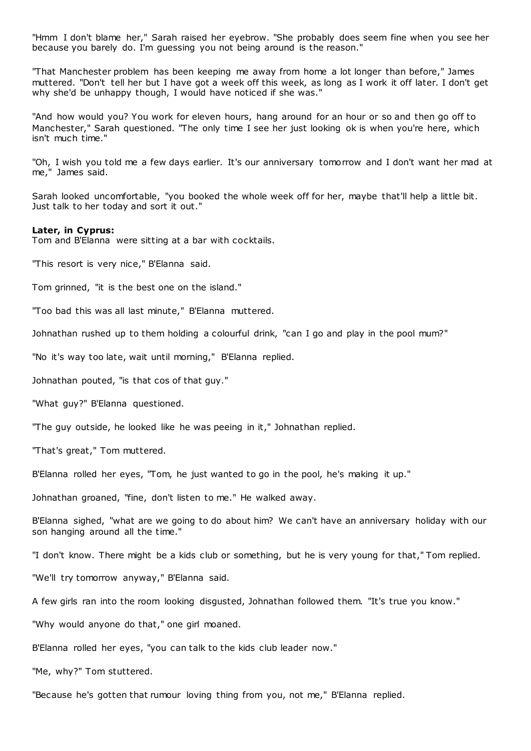"Hmm I don't blame her," Sarah raised her eyebrow. "She probably does seem fine when you see her because you barely do. I'm guessing you not being around is the reason."

"That Manchester problem has been keeping me away from home a lot longer than before," James muttered. "Don't tell her but I have got a week off this week, as long as I work it off later. I don't get why she'd be unhappy though, I would have noticed if she was."

"And how would you? You work for eleven hours, hang around for an hour or so and then go off to Manchester," Sarah questioned. "The only time I see her just looking ok is when you're here, which isn't much time."

"Oh, I wish you told me a few days earlier. It's our anniversary tomorrow and I don't want her mad at me," James said.

Sarah looked uncomfortable, "you booked the whole week off for her, maybe that'll help a little bit. Just talk to her today and sort it out."

### **Later, in Cyprus:**

Tom and B'Elanna were sitting at a bar with cocktails.

"This resort is very nice," B'Elanna said.

Tom grinned, "it is the best one on the island."

"Too bad this was all last minute," B'Elanna muttered.

Johnathan rushed up to them holding a colourful drink, "can I go and play in the pool mum?"

"No it's way too late, wait until morning," B'Elanna replied.

Johnathan pouted, "is that cos of that guy."

"What guy?" B'Elanna questioned.

"The guy outside, he looked like he was peeing in it," Johnathan replied.

"That's great," Tom muttered.

B'Elanna rolled her eyes, "Tom, he just wanted to go in the pool, he's making it up."

Johnathan groaned, "fine, don't listen to me." He walked away.

B'Elanna sighed, "what are we going to do about him? We can't have an anniversary holiday with our son hanging around all the time."

"I don't know. There might be a kids club or something, but he is very young for that," Tom replied.

"We'll try tomorrow anyway," B'Elanna said.

A few girls ran into the room looking disgusted, Johnathan followed them. "It's true you know."

"Why would anyone do that," one girl moaned.

B'Elanna rolled her eyes, "you can talk to the kids club leader now."

"Me, why?" Tom stuttered.

"Because he's gotten that rumour loving thing from you, not me," B'Elanna replied.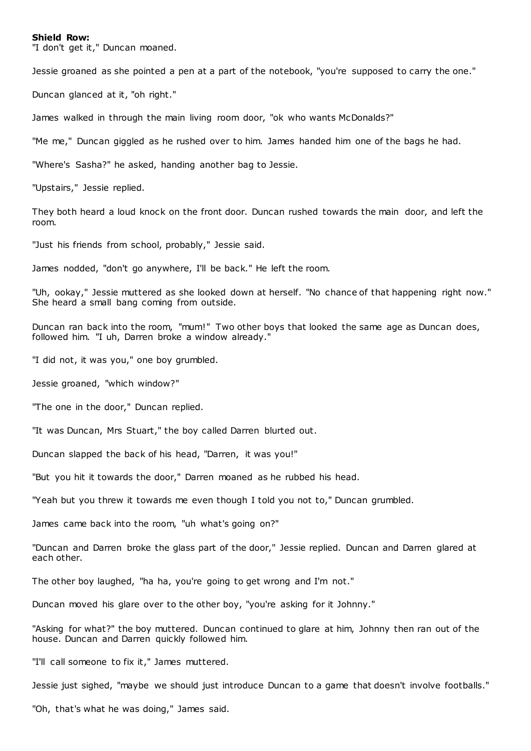### **Shield Row:**

"I don't get it," Duncan moaned.

Jessie groaned as she pointed a pen at a part of the notebook, "you're supposed to carry the one."

Duncan glanced at it, "oh right."

James walked in through the main living room door, "ok who wants McDonalds?"

"Me me," Duncan giggled as he rushed over to him. James handed him one of the bags he had.

"Where's Sasha?" he asked, handing another bag to Jessie.

"Upstairs," Jessie replied.

They both heard a loud knock on the front door. Duncan rushed towards the main door, and left the room.

"Just his friends from school, probably," Jessie said.

James nodded, "don't go anywhere, I'll be back." He left the room.

"Uh, ookay," Jessie muttered as she looked down at herself. "No chance of that happening right now." She heard a small bang coming from outside.

Duncan ran back into the room, "mum!" Two other boys that looked the same age as Duncan does, followed him. "I uh, Darren broke a window already."

"I did not, it was you," one boy grumbled.

Jessie groaned, "which window?"

"The one in the door," Duncan replied.

"It was Duncan, Mrs Stuart," the boy called Darren blurted out.

Duncan slapped the back of his head, "Darren, it was you!"

"But you hit it towards the door," Darren moaned as he rubbed his head.

"Yeah but you threw it towards me even though I told you not to," Duncan grumbled.

James came back into the room, "uh what's going on?"

"Duncan and Darren broke the glass part of the door," Jessie replied. Duncan and Darren glared at each other.

The other boy laughed, "ha ha, you're going to get wrong and I'm not."

Duncan moved his glare over to the other boy, "you're asking for it Johnny."

"Asking for what?" the boy muttered. Duncan continued to glare at him, Johnny then ran out of the house. Duncan and Darren quickly followed him.

"I'll call someone to fix it," James muttered.

Jessie just sighed, "maybe we should just introduce Duncan to a game that doesn't involve footballs."

"Oh, that's what he was doing," James said.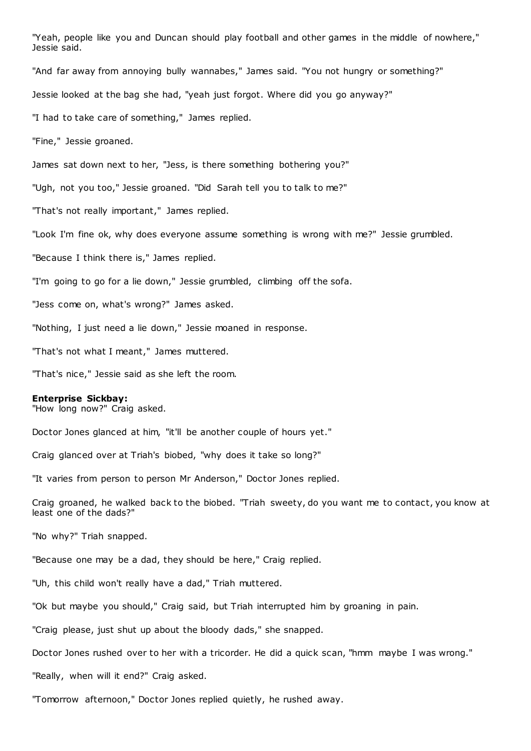"Yeah, people like you and Duncan should play football and other games in the middle of nowhere," Jessie said. "And far away from annoying bully wannabes," James said. "You not hungry or something?" Jessie looked at the bag she had, "yeah just forgot. Where did you go anyway?" "I had to take care of something," James replied. "Fine," Jessie groaned. James sat down next to her, "Jess, is there something bothering you?" "Ugh, not you too," Jessie groaned. "Did Sarah tell you to talk to me?" "That's not really important," James replied. "Look I'm fine ok, why does everyone assume something is wrong with me?" Jessie grumbled. "Because I think there is," James replied. "I'm going to go for a lie down," Jessie grumbled, climbing off the sofa. "Jess come on, what's wrong?" James asked. "Nothing, I just need a lie down," Jessie moaned in response. "That's not what I meant," James muttered. "That's nice," Jessie said as she left the room. **Enterprise Sickbay:** "How long now?" Craig asked. Doctor Jones glanced at him, "it'll be another couple of hours yet." Craig glanced over at Triah's biobed, "why does it take so long?" "It varies from person to person Mr Anderson," Doctor Jones replied. Craig groaned, he walked back to the biobed. "Triah sweety, do you want me to contact, you know at least one of the dads?" "No why?" Triah snapped. "Because one may be a dad, they should be here," Craig replied. "Uh, this child won't really have a dad," Triah muttered. "Ok but maybe you should," Craig said, but Triah interrupted him by groaning in pain. "Craig please, just shut up about the bloody dads," she snapped. Doctor Jones rushed over to her with a tricorder. He did a quick scan, "hmm maybe I was wrong." "Really, when will it end?" Craig asked. "Tomorrow afternoon," Doctor Jones replied quietly, he rushed away.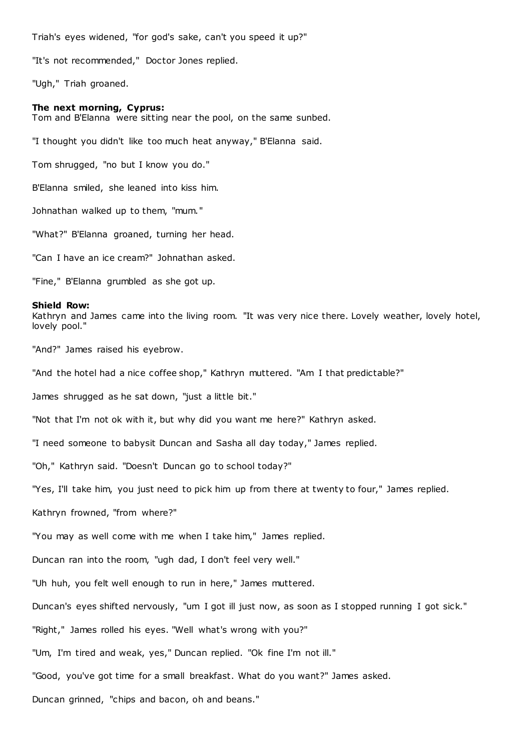Triah's eyes widened, "for god's sake, can't you speed it up?"

"It's not recommended," Doctor Jones replied.

"Ugh," Triah groaned.

#### **The next morning, Cyprus:**

Tom and B'Elanna were sitting near the pool, on the same sunbed.

"I thought you didn't like too much heat anyway," B'Elanna said.

Tom shrugged, "no but I know you do."

B'Elanna smiled, she leaned into kiss him.

Johnathan walked up to them, "mum."

"What?" B'Elanna groaned, turning her head.

"Can I have an ice cream?" Johnathan asked.

"Fine," B'Elanna grumbled as she got up.

#### **Shield Row:**

Kathryn and James came into the living room. "It was very nice there. Lovely weather, lovely hotel, lovely pool."

"And?" James raised his eyebrow.

"And the hotel had a nice coffee shop," Kathryn muttered. "Am I that predictable?"

James shrugged as he sat down, "just a little bit."

"Not that I'm not ok with it, but why did you want me here?" Kathryn asked.

"I need someone to babysit Duncan and Sasha all day today," James replied.

"Oh," Kathryn said. "Doesn't Duncan go to school today?"

"Yes, I'll take him, you just need to pick him up from there at twenty to four," James replied.

Kathryn frowned, "from where?"

"You may as well come with me when I take him," James replied.

Duncan ran into the room, "ugh dad, I don't feel very well."

"Uh huh, you felt well enough to run in here," James muttered.

Duncan's eyes shifted nervously, "um I got ill just now, as soon as I stopped running I got sick."

"Right," James rolled his eyes. "Well what's wrong with you?"

"Um, I'm tired and weak, yes," Duncan replied. "Ok fine I'm not ill."

"Good, you've got time for a small breakfast. What do you want?" James asked.

Duncan grinned, "chips and bacon, oh and beans."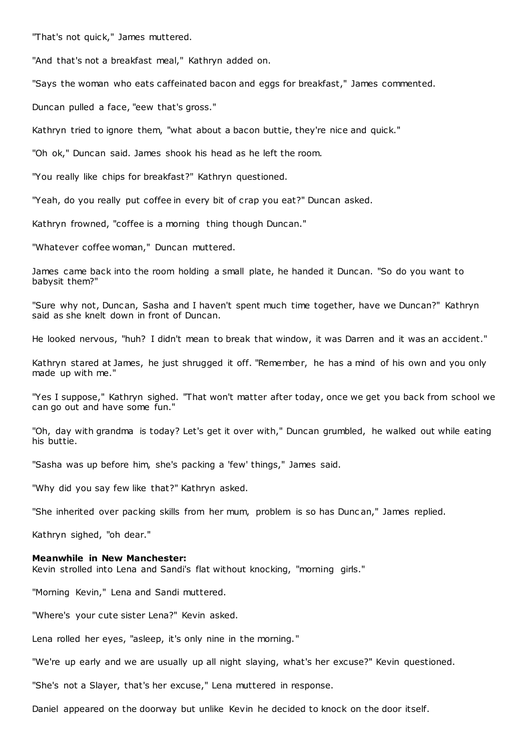"That's not quick," James muttered.

"And that's not a breakfast meal," Kathryn added on.

"Says the woman who eats caffeinated bacon and eggs for breakfast," James commented.

Duncan pulled a face, "eew that's gross."

Kathryn tried to ignore them, "what about a bacon buttie, they're nice and quick."

"Oh ok," Duncan said. James shook his head as he left the room.

"You really like chips for breakfast?" Kathryn questioned.

"Yeah, do you really put coffee in every bit of crap you eat?" Duncan asked.

Kathryn frowned, "coffee is a morning thing though Duncan."

"Whatever coffee woman," Duncan muttered.

James came back into the room holding a small plate, he handed it Duncan. "So do you want to babysit them?"

"Sure why not, Duncan, Sasha and I haven't spent much time together, have we Duncan?" Kathryn said as she knelt down in front of Duncan.

He looked nervous, "huh? I didn't mean to break that window, it was Darren and it was an accident."

Kathryn stared at James, he just shrugged it off. "Remember, he has a mind of his own and you only made up with me."

"Yes I suppose," Kathryn sighed. "That won't matter after today, once we get you back from school we can go out and have some fun."

"Oh, day with grandma is today? Let's get it over with," Duncan grumbled, he walked out while eating his buttie.

"Sasha was up before him, she's packing a 'few' things," James said.

"Why did you say few like that?" Kathryn asked.

"She inherited over packing skills from her mum, problem is so has Dunc an," James replied.

Kathryn sighed, "oh dear."

### **Meanwhile in New Manchester:**

Kevin strolled into Lena and Sandi's flat without knocking, "morning girls."

"Morning Kevin," Lena and Sandi muttered.

"Where's your cute sister Lena?" Kevin asked.

Lena rolled her eyes, "asleep, it's only nine in the morning."

"We're up early and we are usually up all night slaying, what's her excuse?" Kevin questioned.

"She's not a Slayer, that's her excuse," Lena muttered in response.

Daniel appeared on the doorway but unlike Kevin he decided to knock on the door itself.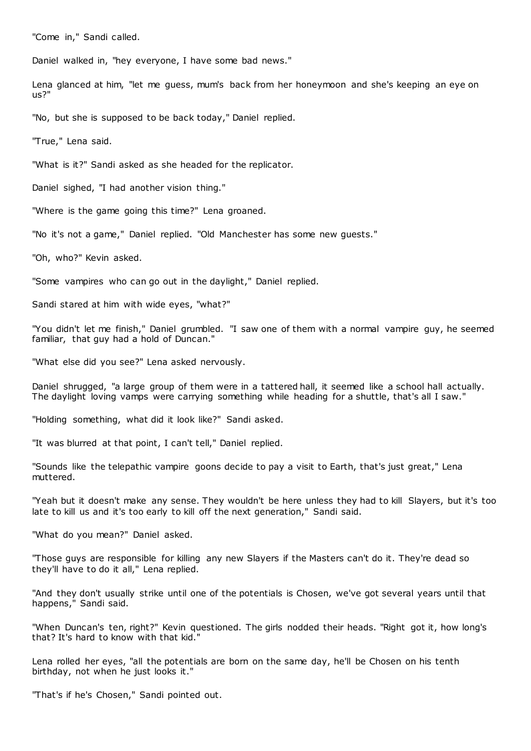"Come in," Sandi called.

Daniel walked in, "hey everyone, I have some bad news."

Lena glanced at him, "let me guess, mum's back from her honeymoon and she's keeping an eye on us?"

"No, but she is supposed to be back today," Daniel replied.

"True," Lena said.

"What is it?" Sandi asked as she headed for the replicator.

Daniel sighed, "I had another vision thing."

"Where is the game going this time?" Lena groaned.

"No it's not a game," Daniel replied. "Old Manchester has some new guests."

"Oh, who?" Kevin asked.

"Some vampires who can go out in the daylight," Daniel replied.

Sandi stared at him with wide eyes, "what?"

"You didn't let me finish," Daniel grumbled. "I saw one of them with a normal vampire guy, he seemed familiar, that guy had a hold of Duncan."

"What else did you see?" Lena asked nervously.

Daniel shrugged, "a large group of them were in a tattered hall, it seemed like a school hall actually. The daylight loving vamps were carrying something while heading for a shuttle, that's all I saw."

"Holding something, what did it look like?" Sandi asked.

"It was blurred at that point, I can't tell," Daniel replied.

"Sounds like the telepathic vampire goons decide to pay a visit to Earth, that's just great," Lena muttered.

"Yeah but it doesn't make any sense. They wouldn't be here unless they had to kill Slayers, but it's too late to kill us and it's too early to kill off the next generation," Sandi said.

"What do you mean?" Daniel asked.

"Those guys are responsible for killing any new Slayers if the Masters can't do it. They're dead so they'll have to do it all," Lena replied.

"And they don't usually strike until one of the potentials is Chosen, we've got several years until that happens," Sandi said.

"When Duncan's ten, right?" Kevin questioned. The girls nodded their heads. "Right got it, how long's that? It's hard to know with that kid."

Lena rolled her eyes, "all the potentials are born on the same day, he'll be Chosen on his tenth birthday, not when he just looks it."

"That's if he's Chosen," Sandi pointed out.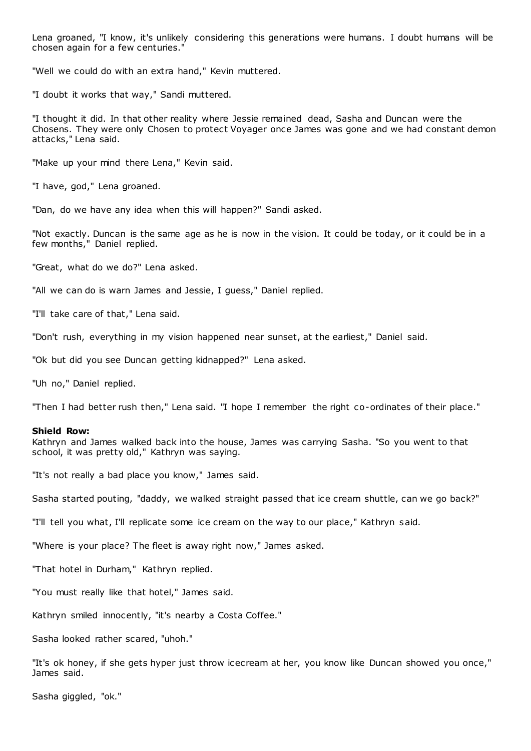Lena groaned, "I know, it's unlikely considering this generations were humans. I doubt humans will be chosen again for a few centuries."

"Well we could do with an extra hand," Kevin muttered.

"I doubt it works that way," Sandi muttered.

"I thought it did. In that other reality where Jessie remained dead, Sasha and Duncan were the Chosens. They were only Chosen to protect Voyager once James was gone and we had constant demon attacks," Lena said.

"Make up your mind there Lena," Kevin said.

"I have, god," Lena groaned.

"Dan, do we have any idea when this will happen?" Sandi asked.

"Not exactly. Duncan is the same age as he is now in the vision. It could be today, or it could be in a few months," Daniel replied.

"Great, what do we do?" Lena asked.

"All we can do is warn James and Jessie, I guess," Daniel replied.

"I'll take care of that," Lena said.

"Don't rush, everything in my vision happened near sunset, at the earliest," Daniel said.

"Ok but did you see Duncan getting kidnapped?" Lena asked.

"Uh no," Daniel replied.

"Then I had better rush then," Lena said. "I hope I remember the right co-ordinates of their place."

### **Shield Row:**

Kathryn and James walked back into the house, James was carrying Sasha. "So you went to that school, it was pretty old," Kathryn was saying.

"It's not really a bad place you know," James said.

Sasha started pouting, "daddy, we walked straight passed that ice cream shuttle, can we go back?"

"I'll tell you what, I'll replicate some ice cream on the way to our place," Kathryn said.

"Where is your place? The fleet is away right now," James asked.

"That hotel in Durham," Kathryn replied.

"You must really like that hotel," James said.

Kathryn smiled innocently, "it's nearby a Costa Coffee."

Sasha looked rather scared, "uhoh."

"It's ok honey, if she gets hyper just throw icecream at her, you know like Duncan showed you once," James said.

Sasha giggled, "ok."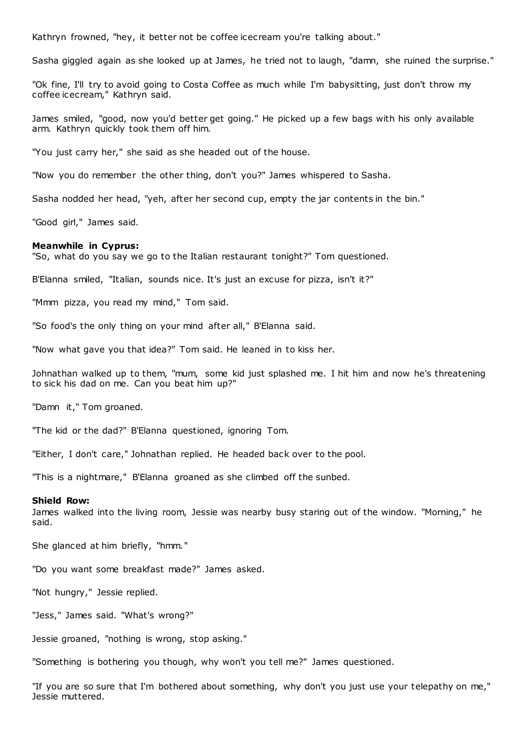Kathryn frowned, "hey, it better not be coffee icecream you're talking about."

Sasha giggled again as she looked up at James, he tried not to laugh, "damn, she ruined the surprise."

"Ok fine, I'll try to avoid going to Costa Coffee as much while I'm babysitting, just don't throw my coffee icecream," Kathryn said.

James smiled, "good, now you'd better get going." He picked up a few bags with his only available arm. Kathryn quickly took them off him.

"You just carry her," she said as she headed out of the house.

"Now you do remember the other thing, don't you?" James whispered to Sasha.

Sasha nodded her head, "yeh, after her second cup, empty the jar contents in the bin."

"Good girl," James said.

### **Meanwhile in Cyprus:**

"So, what do you say we go to the Italian restaurant tonight?" Tom questioned.

B'Elanna smiled, "Italian, sounds nice. It's just an excuse for pizza, isn't it?"

"Mmm pizza, you read my mind," Tom said.

"So food's the only thing on your mind after all," B'Elanna said.

"Now what gave you that idea?" Tom said. He leaned in to kiss her.

Johnathan walked up to them, "mum, some kid just splashed me. I hit him and now he's threatening to sick his dad on me. Can you beat him up?"

"Damn it," Tom groaned.

"The kid or the dad?" B'Elanna questioned, ignoring Tom.

"Either, I don't care," Johnathan replied. He headed back over to the pool.

"This is a nightmare," B'Elanna groaned as she climbed off the sunbed.

### **Shield Row:**

James walked into the living room, Jessie was nearby busy staring out of the window. "Morning," he said.

She glanced at him briefly, "hmm."

"Do you want some breakfast made?" James asked.

"Not hungry," Jessie replied.

"Jess," James said. "What's wrong?"

Jessie groaned, "nothing is wrong, stop asking."

"Something is bothering you though, why won't you tell me?" James questioned.

"If you are so sure that I'm bothered about something, why don't you just use your telepathy on me," Jessie muttered.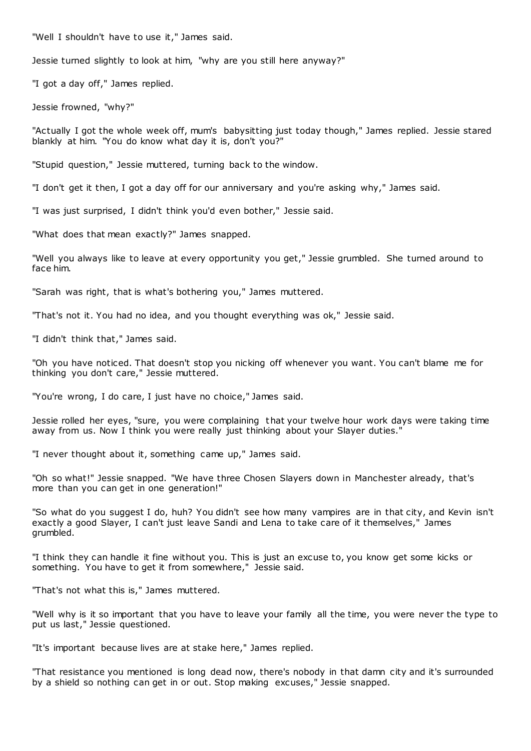"Well I shouldn't have to use it," James said.

Jessie turned slightly to look at him, "why are you still here anyway?"

"I got a day off," James replied.

Jessie frowned, "why?"

"Actually I got the whole week off, mum's babysitting just today though," James replied. Jessie stared blankly at him. "You do know what day it is, don't you?"

"Stupid question," Jessie muttered, turning back to the window.

"I don't get it then, I got a day off for our anniversary and you're asking why," James said.

"I was just surprised, I didn't think you'd even bother," Jessie said.

"What does that mean exactly?" James snapped.

"Well you always like to leave at every opportunity you get," Jessie grumbled. She turned around to face him.

"Sarah was right, that is what's bothering you," James muttered.

"That's not it. You had no idea, and you thought everything was ok," Jessie said.

"I didn't think that," James said.

"Oh you have noticed. That doesn't stop you nicking off whenever you want. You can't blame me for thinking you don't care," Jessie muttered.

"You're wrong, I do care, I just have no choice," James said.

Jessie rolled her eyes, "sure, you were complaining that your twelve hour work days were taking time away from us. Now I think you were really just thinking about your Slayer duties."

"I never thought about it, something came up," James said.

"Oh so what!" Jessie snapped. "We have three Chosen Slayers down in Manchester already, that's more than you can get in one generation!"

"So what do you suggest I do, huh? You didn't see how many vampires are in that city, and Kevin isn't exactly a good Slayer, I can't just leave Sandi and Lena to take care of it themselves," James grumbled.

"I think they can handle it fine without you. This is just an excuse to, you know get some kicks or something. You have to get it from somewhere," Jessie said.

"That's not what this is," James muttered.

"Well why is it so important that you have to leave your family all the time, you were never the type to put us last," Jessie questioned.

"It's important because lives are at stake here," James replied.

"That resistance you mentioned is long dead now, there's nobody in that damn city and it's surrounded by a shield so nothing can get in or out. Stop making excuses," Jessie snapped.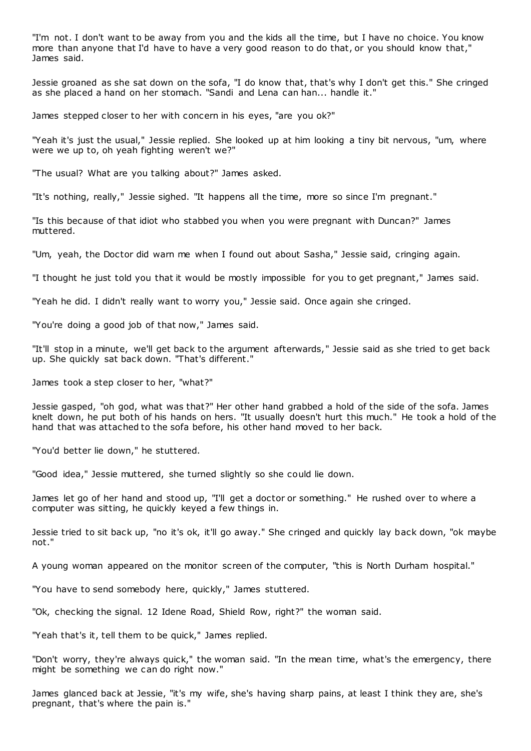"I'm not. I don't want to be away from you and the kids all the time, but I have no choice. You know more than anyone that I'd have to have a very good reason to do that, or you should know that," James said.

Jessie groaned as she sat down on the sofa, "I do know that, that's why I don't get this." She cringed as she placed a hand on her stomach. "Sandi and Lena can han... handle it."

James stepped closer to her with concern in his eyes, "are you ok?"

"Yeah it's just the usual," Jessie replied. She looked up at him looking a tiny bit nervous, "um, where were we up to, oh yeah fighting weren't we?"

"The usual? What are you talking about?" James asked.

"It's nothing, really," Jessie sighed. "It happens all the time, more so since I'm pregnant."

"Is this because of that idiot who stabbed you when you were pregnant with Duncan?" James muttered.

"Um, yeah, the Doctor did warn me when I found out about Sasha," Jessie said, cringing again.

"I thought he just told you that it would be mostly impossible for you to get pregnant," James said.

"Yeah he did. I didn't really want to worry you," Jessie said. Once again she cringed.

"You're doing a good job of that now," James said.

"It'll stop in a minute, we'll get back to the argument afterwards," Jessie said as she tried to get back up. She quickly sat back down. "That's different."

James took a step closer to her, "what?"

Jessie gasped, "oh god, what was that?" Her other hand grabbed a hold of the side of the sofa. James knelt down, he put both of his hands on hers. "It usually doesn't hurt this much." He took a hold of the hand that was attached to the sofa before, his other hand moved to her back.

"You'd better lie down," he stuttered.

"Good idea," Jessie muttered, she turned slightly so she could lie down.

James let go of her hand and stood up, "I'll get a doctor or something." He rushed over to where a computer was sitting, he quickly keyed a few things in.

Jessie tried to sit back up, "no it's ok, it'll go away." She cringed and quickly lay back down, "ok maybe not."

A young woman appeared on the monitor screen of the computer, "this is North Durham hospital."

"You have to send somebody here, quickly," James stuttered.

"Ok, checking the signal. 12 Idene Road, Shield Row, right?" the woman said.

"Yeah that's it, tell them to be quick," James replied.

"Don't worry, they're always quick," the woman said. "In the mean time, what's the emergency, there might be something we can do right now."

James glanced back at Jessie, "it's my wife, she's having sharp pains, at least I think they are, she's pregnant, that's where the pain is."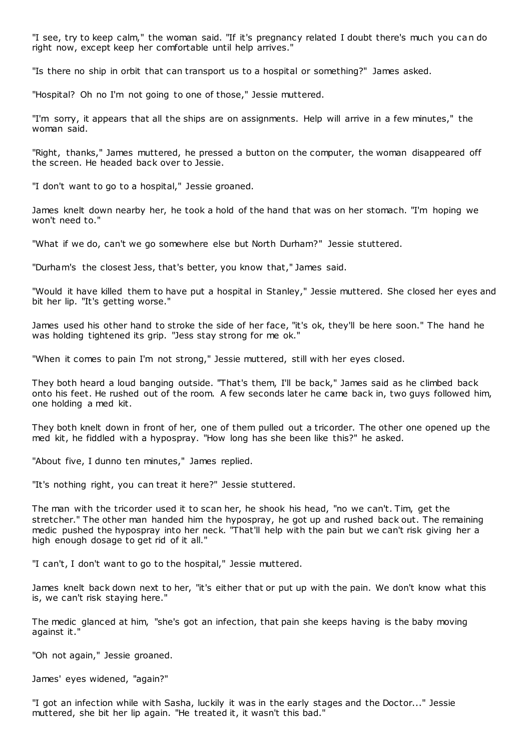"I see, try to keep calm," the woman said. "If it's pregnancy related I doubt there's much you can do right now, except keep her comfortable until help arrives."

"Is there no ship in orbit that can transport us to a hospital or something?" James asked.

"Hospital? Oh no I'm not going to one of those," Jessie muttered.

"I'm sorry, it appears that all the ships are on assignments. Help will arrive in a few minutes," the woman said.

"Right, thanks," James muttered, he pressed a button on the computer, the woman disappeared off the screen. He headed back over to Jessie.

"I don't want to go to a hospital," Jessie groaned.

James knelt down nearby her, he took a hold of the hand that was on her stomach. "I'm hoping we won't need to."

"What if we do, can't we go somewhere else but North Durham?" Jessie stuttered.

"Durham's the closest Jess, that's better, you know that," James said.

"Would it have killed them to have put a hospital in Stanley," Jessie muttered. She closed her eyes and bit her lip. "It's getting worse."

James used his other hand to stroke the side of her face, "it's ok, they'll be here soon." The hand he was holding tightened its grip. "Jess stay strong for me ok."

"When it comes to pain I'm not strong," Jessie muttered, still with her eyes closed.

They both heard a loud banging outside. "That's them, I'll be back," James said as he climbed back onto his feet. He rushed out of the room. A few seconds later he came back in, two guys followed him, one holding a med kit.

They both knelt down in front of her, one of them pulled out a tricorder. The other one opened up the med kit, he fiddled with a hypospray. "How long has she been like this?" he asked.

"About five, I dunno ten minutes," James replied.

"It's nothing right, you can treat it here?" Jessie stuttered.

The man with the tricorder used it to scan her, he shook his head, "no we can't. Tim, get the stretcher." The other man handed him the hypospray, he got up and rushed back out. The remaining medic pushed the hypospray into her neck. "That'll help with the pain but we can't risk giving her a high enough dosage to get rid of it all."

"I can't, I don't want to go to the hospital," Jessie muttered.

James knelt back down next to her, "it's either that or put up with the pain. We don't know what this is, we can't risk staying here."

The medic glanced at him, "she's got an infection, that pain she keeps having is the baby moving against it."

"Oh not again," Jessie groaned.

James' eyes widened, "again?"

"I got an infection while with Sasha, luckily it was in the early stages and the Doctor..." Jessie muttered, she bit her lip again. "He treated it, it wasn't this bad."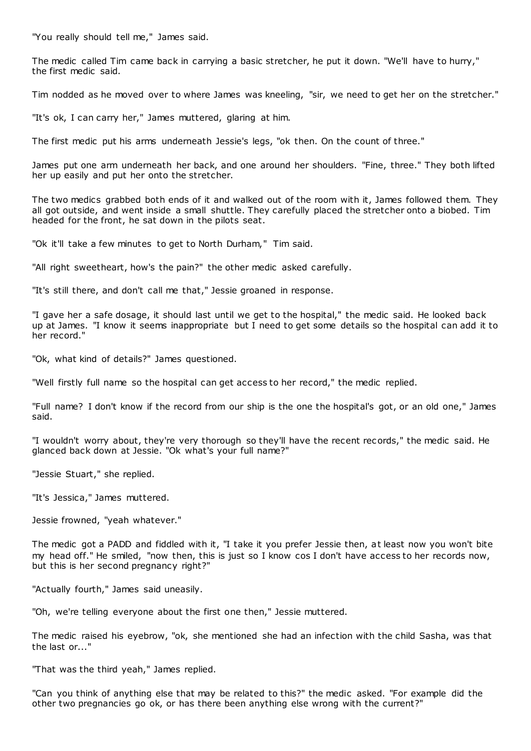"You really should tell me," James said.

The medic called Tim came back in carrying a basic stretcher, he put it down. "We'll have to hurry," the first medic said.

Tim nodded as he moved over to where James was kneeling, "sir, we need to get her on the stretcher."

"It's ok, I can carry her," James muttered, glaring at him.

The first medic put his arms underneath Jessie's legs, "ok then. On the count of three."

James put one arm underneath her back, and one around her shoulders. "Fine, three." They both lifted her up easily and put her onto the stretcher.

The two medics grabbed both ends of it and walked out of the room with it, James followed them. They all got outside, and went inside a small shuttle. They carefully placed the stretcher onto a biobed. Tim headed for the front, he sat down in the pilots seat.

"Ok it'll take a few minutes to get to North Durham," Tim said.

"All right sweetheart, how's the pain?" the other medic asked carefully.

"It's still there, and don't call me that," Jessie groaned in response.

"I gave her a safe dosage, it should last until we get to the hospital," the medic said. He looked back up at James. "I know it seems inappropriate but I need to get some details so the hospital can add it to her record."

"Ok, what kind of details?" James questioned.

"Well firstly full name so the hospital can get access to her record," the medic replied.

"Full name? I don't know if the record from our ship is the one the hospital's got, or an old one," James said.

"I wouldn't worry about, they're very thorough so they'll have the recent records," the medic said. He glanced back down at Jessie. "Ok what's your full name?"

"Jessie Stuart," she replied.

"It's Jessica," James muttered.

Jessie frowned, "yeah whatever."

The medic got a PADD and fiddled with it, "I take it you prefer Jessie then, at least now you won't bite my head off." He smiled, "now then, this is just so I know cos I don't have access to her records now, but this is her second pregnancy right?"

"Actually fourth," James said uneasily.

"Oh, we're telling everyone about the first one then," Jessie muttered.

The medic raised his eyebrow, "ok, she mentioned she had an infection with the child Sasha, was that the last or..."

"That was the third yeah," James replied.

"Can you think of anything else that may be related to this?" the medic asked. "For example did the other two pregnancies go ok, or has there been anything else wrong with the current?"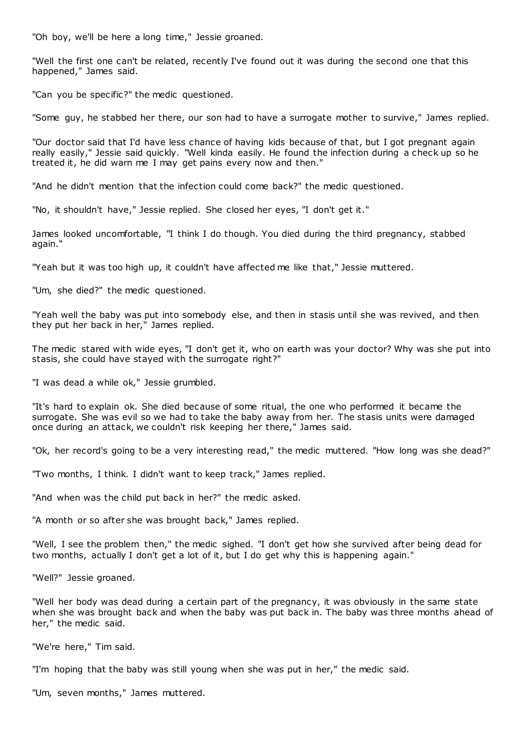"Oh boy, we'll be here a long time," Jessie groaned.

"Well the first one can't be related, recently I've found out it was during the second one that this happened," James said.

"Can you be specific?" the medic questioned.

"Some guy, he stabbed her there, our son had to have a surrogate mother to survive," James replied.

"Our doctor said that I'd have less chance of having kids because of that, but I got pregnant again really easily," Jessie said quickly. "Well kinda easily. He found the infection during a check up so he treated it, he did warn me I may get pains every now and then."

"And he didn't mention that the infection could come back?" the medic questioned.

"No, it shouldn't have," Jessie replied. She closed her eyes, "I don't get it."

James looked uncomfortable, "I think I do though. You died during the third pregnancy, stabbed again."

"Yeah but it was too high up, it couldn't have affected me like that," Jessie muttered.

"Um, she died?" the medic questioned.

"Yeah well the baby was put into somebody else, and then in stasis until she was revived, and then they put her back in her," James replied.

The medic stared with wide eyes, "I don't get it, who on earth was your doctor? Why was she put into stasis, she could have stayed with the surrogate right?"

"I was dead a while ok," Jessie grumbled.

"It's hard to explain ok. She died because of some ritual, the one who performed it became the surrogate. She was evil so we had to take the baby away from her. The stasis units were damaged once during an attack, we couldn't risk keeping her there," James said.

"Ok, her record's going to be a very interesting read," the medic muttered. "How long was she dead?"

"Two months, I think. I didn't want to keep track," James replied.

"And when was the child put back in her?" the medic asked.

"A month or so after she was brought back," James replied.

"Well, I see the problem then," the medic sighed. "I don't get how she survived after being dead for two months, actually I don't get a lot of it, but I do get why this is happening again."

"Well?" Jessie groaned.

"Well her body was dead during a certain part of the pregnancy, it was obviously in the same state when she was brought back and when the baby was put back in. The baby was three months ahead of her," the medic said.

"We're here," Tim said.

"I'm hoping that the baby was still young when she was put in her," the medic said.

"Um, seven months," James muttered.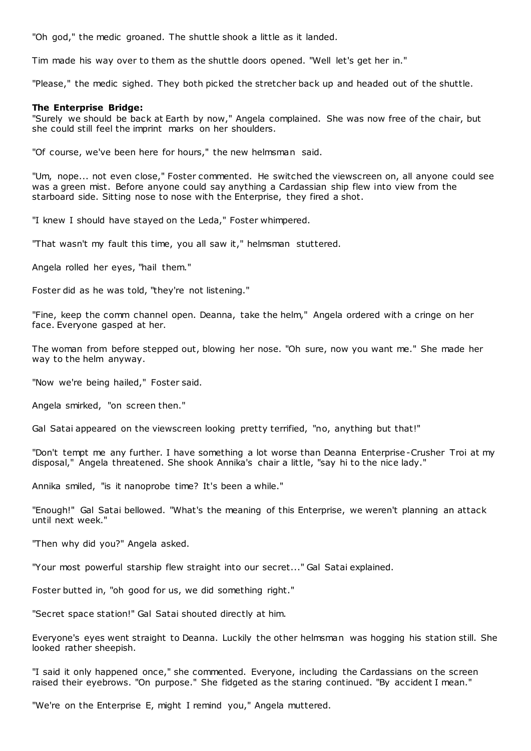"Oh god," the medic groaned. The shuttle shook a little as it landed.

Tim made his way over to them as the shuttle doors opened. "Well let's get her in."

"Please," the medic sighed. They both picked the stretcher back up and headed out of the shuttle.

### **The Enterprise Bridge:**

"Surely we should be back at Earth by now," Angela complained. She was now free of the chair, but she could still feel the imprint marks on her shoulders.

"Of course, we've been here for hours," the new helmsman said.

"Um, nope... not even close," Foster commented. He switched the viewscreen on, all anyone could see was a green mist. Before anyone could say anything a Cardassian ship flew into view from the starboard side. Sitting nose to nose with the Enterprise, they fired a shot.

"I knew I should have stayed on the Leda," Foster whimpered.

"That wasn't my fault this time, you all saw it," helmsman stuttered.

Angela rolled her eyes, "hail them."

Foster did as he was told, "they're not listening."

"Fine, keep the comm channel open. Deanna, take the helm," Angela ordered with a cringe on her face. Everyone gasped at her.

The woman from before stepped out, blowing her nose. "Oh sure, now you want me." She made her way to the helm anyway.

"Now we're being hailed," Foster said.

Angela smirked, "on screen then."

Gal Satai appeared on the viewscreen looking pretty terrified, "no, anything but that!"

"Don't tempt me any further. I have something a lot worse than Deanna Enterprise-Crusher Troi at my disposal," Angela threatened. She shook Annika's chair a little, "say hi to the nice lady."

Annika smiled, "is it nanoprobe time? It's been a while."

"Enough!" Gal Satai bellowed. "What's the meaning of this Enterprise, we weren't planning an attack until next week."

"Then why did you?" Angela asked.

"Your most powerful starship flew straight into our secret..." Gal Satai explained.

Foster butted in, "oh good for us, we did something right."

"Secret space station!" Gal Satai shouted directly at him.

Everyone's eyes went straight to Deanna. Luckily the other helmsman was hogging his station still. She looked rather sheepish.

"I said it only happened once," she commented. Everyone, including the Cardassians on the screen raised their eyebrows. "On purpose." She fidgeted as the staring continued. "By accident I mean."

"We're on the Enterprise E, might I remind you," Angela muttered.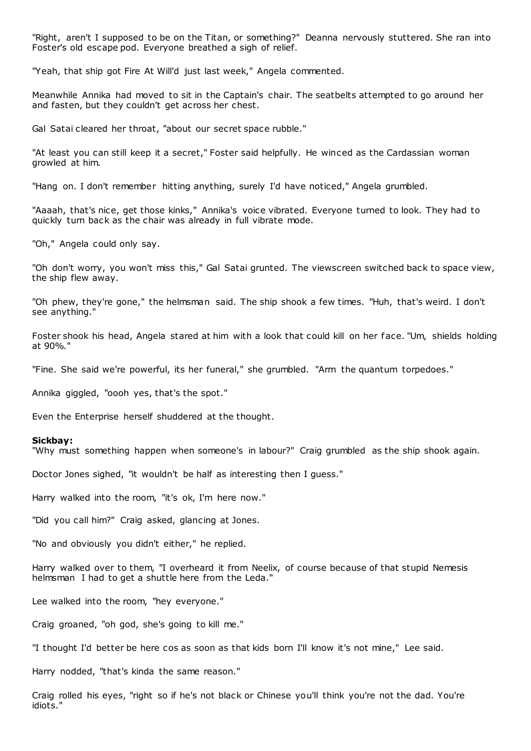"Right, aren't I supposed to be on the Titan, or something?" Deanna nervously stuttered. She ran into Foster's old escape pod. Everyone breathed a sigh of relief.

"Yeah, that ship got Fire At Will'd just last week," Angela commented.

Meanwhile Annika had moved to sit in the Captain's chair. The seatbelts attempted to go around her and fasten, but they couldn't get across her chest.

Gal Satai cleared her throat, "about our secret space rubble."

"At least you can still keep it a secret," Foster said helpfully. He winced as the Cardassian woman growled at him.

"Hang on. I don't remember hitting anything, surely I'd have noticed," Angela grumbled.

"Aaaah, that's nice, get those kinks," Annika's voice vibrated. Everyone turned to look. They had to quickly turn back as the chair was already in full vibrate mode.

"Oh," Angela could only say.

"Oh don't worry, you won't miss this," Gal Satai grunted. The viewscreen switched back to space view, the ship flew away.

"Oh phew, they're gone," the helmsman said. The ship shook a few times. "Huh, that's weird. I don't see anything."

Foster shook his head, Angela stared at him with a look that could kill on her face. "Um, shields holding at 90%."

"Fine. She said we're powerful, its her funeral," she grumbled. "Arm the quantum torpedoes."

Annika giggled, "oooh yes, that's the spot."

Even the Enterprise herself shuddered at the thought.

#### **Sickbay:**

"Why must something happen when someone's in labour?" Craig grumbled as the ship shook again.

Doctor Jones sighed, "it wouldn't be half as interesting then I guess."

Harry walked into the room, "it's ok, I'm here now."

"Did you call him?" Craig asked, glancing at Jones.

"No and obviously you didn't either," he replied.

Harry walked over to them, "I overheard it from Neelix, of course because of that stupid Nemesis helmsman I had to get a shuttle here from the Leda."

Lee walked into the room, "hey everyone."

Craig groaned, "oh god, she's going to kill me."

"I thought I'd better be here cos as soon as that kids born I'll know it's not mine," Lee said.

Harry nodded, "that's kinda the same reason."

Craig rolled his eyes, "right so if he's not black or Chinese you'll think you're not the dad. You're idiots."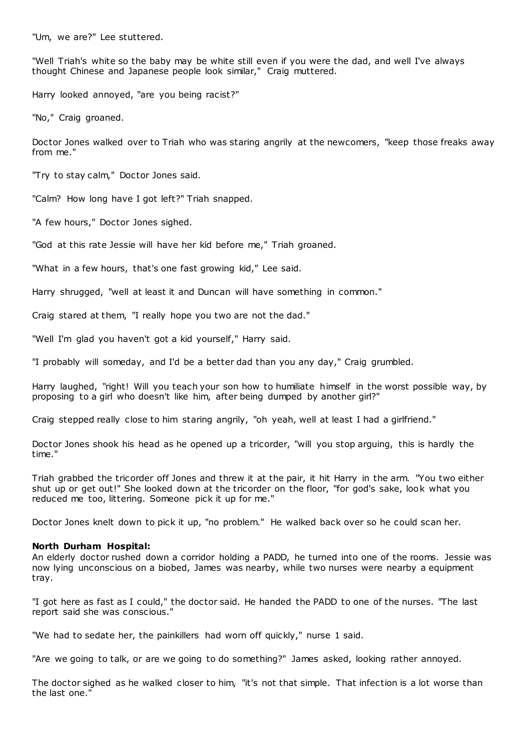"Um, we are?" Lee stuttered.

"Well Triah's white so the baby may be white still even if you were the dad, and well I've always thought Chinese and Japanese people look similar," Craig muttered.

Harry looked annoyed, "are you being racist?"

"No," Craig groaned.

Doctor Jones walked over to Triah who was staring angrily at the newcomers, "keep those freaks away from me."

"Try to stay calm," Doctor Jones said.

"Calm? How long have I got left?" Triah snapped.

"A few hours," Doctor Jones sighed.

"God at this rate Jessie will have her kid before me," Triah groaned.

"What in a few hours, that's one fast growing kid," Lee said.

Harry shrugged, "well at least it and Duncan will have something in common."

Craig stared at them, "I really hope you two are not the dad."

"Well I'm glad you haven't got a kid yourself," Harry said.

"I probably will someday, and I'd be a better dad than you any day," Craig grumbled.

Harry laughed, "right! Will you teach your son how to humiliate himself in the worst possible way, by proposing to a girl who doesn't like him, after being dumped by another girl?"

Craig stepped really close to him staring angrily, "oh yeah, well at least I had a girlfriend."

Doctor Jones shook his head as he opened up a tricorder, "will you stop arguing, this is hardly the time."

Triah grabbed the tricorder off Jones and threw it at the pair, it hit Harry in the arm. "You two either shut up or get out!" She looked down at the tricorder on the floor, "for god's sake, look what you reduced me too, littering. Someone pick it up for me."

Doctor Jones knelt down to pick it up, "no problem." He walked back over so he could scan her.

### **North Durham Hospital:**

An elderly doctor rushed down a corridor holding a PADD, he turned into one of the rooms. Jessie was now lying unconscious on a biobed, James was nearby, while two nurses were nearby a equipment tray.

"I got here as fast as I could," the doctor said. He handed the PADD to one of the nurses. "The last report said she was conscious."

"We had to sedate her, the painkillers had worn off quickly," nurse 1 said.

"Are we going to talk, or are we going to do something?" James asked, looking rather annoyed.

The doctor sighed as he walked closer to him, "it's not that simple. That infection is a lot worse than the last one."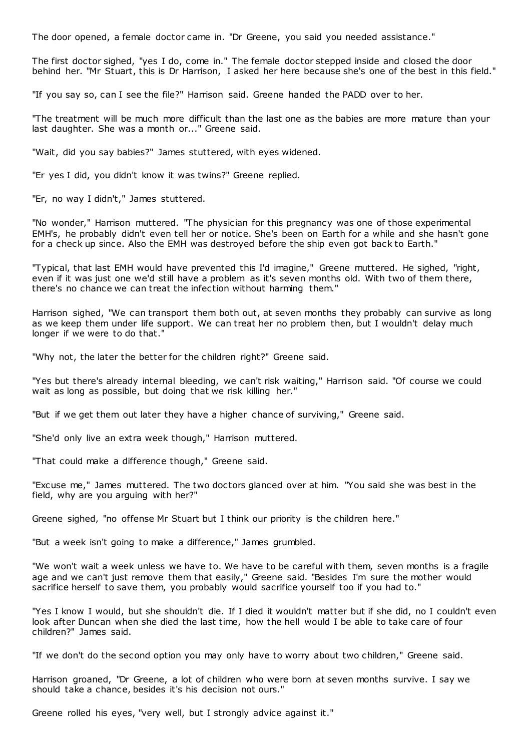The door opened, a female doctor came in. "Dr Greene, you said you needed assistance."

The first doctor sighed, "yes I do, come in." The female doctor stepped inside and closed the door behind her. "Mr Stuart, this is Dr Harrison, I asked her here because she's one of the best in this field."

"If you say so, can I see the file?" Harrison said. Greene handed the PADD over to her.

"The treatment will be much more difficult than the last one as the babies are more mature than your last daughter. She was a month or..." Greene said.

"Wait, did you say babies?" James stuttered, with eyes widened.

"Er yes I did, you didn't know it was twins?" Greene replied.

"Er, no way I didn't," James stuttered.

"No wonder," Harrison muttered. "The physician for this pregnancy was one of those experimental EMH's, he probably didn't even tell her or notice. She's been on Earth for a while and she hasn't gone for a check up since. Also the EMH was destroyed before the ship even got back to Earth."

"Typical, that last EMH would have prevented this I'd imagine," Greene muttered. He sighed, "right, even if it was just one we'd still have a problem as it's seven months old. With two of them there, there's no chance we can treat the infection without harming them."

Harrison sighed, "We can transport them both out, at seven months they probably can survive as long as we keep them under life support. We can treat her no problem then, but I wouldn't delay much longer if we were to do that."

"Why not, the later the better for the children right?" Greene said.

"Yes but there's already internal bleeding, we can't risk waiting," Harrison said. "Of course we could wait as long as possible, but doing that we risk killing her."

"But if we get them out later they have a higher chance of surviving," Greene said.

"She'd only live an extra week though," Harrison muttered.

"That could make a difference though," Greene said.

"Excuse me," James muttered. The two doctors glanced over at him. "You said she was best in the field, why are you arguing with her?"

Greene sighed, "no offense Mr Stuart but I think our priority is the children here."

"But a week isn't going to make a difference," James grumbled.

"We won't wait a week unless we have to. We have to be careful with them, seven months is a fragile age and we can't just remove them that easily," Greene said. "Besides I'm sure the mother would sacrifice herself to save them, you probably would sacrifice yourself too if you had to."

"Yes I know I would, but she shouldn't die. If I died it wouldn't matter but if she did, no I couldn't even look after Duncan when she died the last time, how the hell would I be able to take care of four children?" James said.

"If we don't do the second option you may only have to worry about two children," Greene said.

Harrison groaned, "Dr Greene, a lot of children who were born at seven months survive. I say we should take a chance, besides it's his decision not ours."

Greene rolled his eyes, "very well, but I strongly advice against it."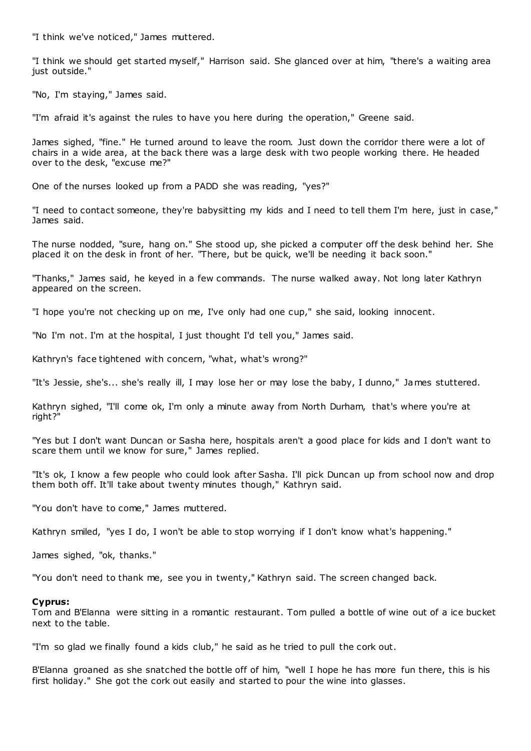"I think we've noticed," James muttered.

"I think we should get started myself," Harrison said. She glanced over at him, "there's a waiting area just outside."

"No, I'm staying," James said.

"I'm afraid it's against the rules to have you here during the operation," Greene said.

James sighed, "fine." He turned around to leave the room. Just down the corridor there were a lot of chairs in a wide area, at the back there was a large desk with two people working there. He headed over to the desk, "excuse me?"

One of the nurses looked up from a PADD she was reading, "yes?"

"I need to contact someone, they're babysitting my kids and I need to tell them I'm here, just in case," James said.

The nurse nodded, "sure, hang on." She stood up, she picked a computer off the desk behind her. She placed it on the desk in front of her. "There, but be quick, we'll be needing it back soon."

"Thanks," James said, he keyed in a few commands. The nurse walked away. Not long later Kathryn appeared on the screen.

"I hope you're not checking up on me, I've only had one cup," she said, looking innocent.

"No I'm not. I'm at the hospital, I just thought I'd tell you," James said.

Kathryn's face tightened with concern, "what, what's wrong?"

"It's Jessie, she's... she's really ill, I may lose her or may lose the baby, I dunno," James stuttered.

Kathryn sighed, "I'll come ok, I'm only a minute away from North Durham, that's where you're at right?"

"Yes but I don't want Duncan or Sasha here, hospitals aren't a good place for kids and I don't want to scare them until we know for sure," James replied.

"It's ok, I know a few people who could look after Sasha. I'll pick Duncan up from school now and drop them both off. It'll take about twenty minutes though," Kathryn said.

"You don't have to come," James muttered.

Kathryn smiled, "yes I do, I won't be able to stop worrying if I don't know what's happening."

James sighed, "ok, thanks."

"You don't need to thank me, see you in twenty," Kathryn said. The screen changed back.

### **Cyprus:**

Tom and B'Elanna were sitting in a romantic restaurant. Tom pulled a bottle of wine out of a ice bucket next to the table.

"I'm so glad we finally found a kids club," he said as he tried to pull the cork out.

B'Elanna groaned as she snatched the bottle off of him, "well I hope he has more fun there, this is his first holiday." She got the cork out easily and started to pour the wine into glasses.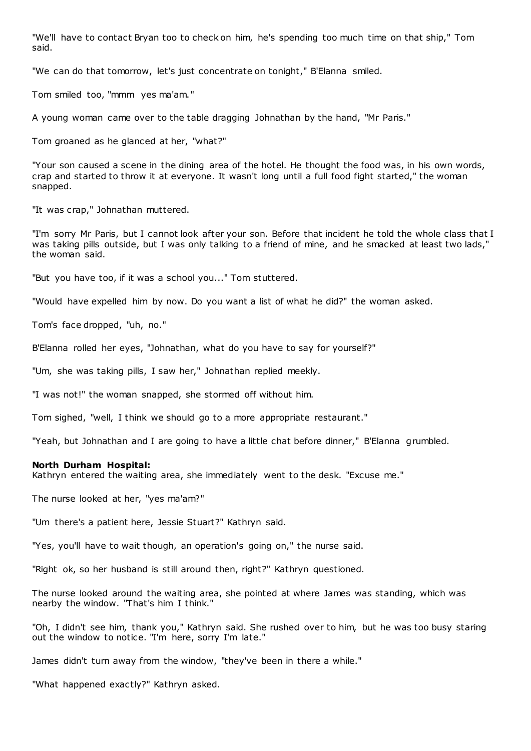"We'll have to contact Bryan too to check on him, he's spending too much time on that ship," Tom said.

"We can do that tomorrow, let's just concentrate on tonight," B'Elanna smiled.

Tom smiled too, "mmm yes ma'am."

A young woman came over to the table dragging Johnathan by the hand, "Mr Paris."

Tom groaned as he glanced at her, "what?"

"Your son caused a scene in the dining area of the hotel. He thought the food was, in his own words, crap and started to throw it at everyone. It wasn't long until a full food fight started," the woman snapped.

"It was crap," Johnathan muttered.

"I'm sorry Mr Paris, but I cannot look after your son. Before that incident he told the whole class that I was taking pills outside, but I was only talking to a friend of mine, and he smacked at least two lads," the woman said.

"But you have too, if it was a school you..." Tom stuttered.

"Would have expelled him by now. Do you want a list of what he did?" the woman asked.

Tom's face dropped, "uh, no."

B'Elanna rolled her eyes, "Johnathan, what do you have to say for yourself?"

"Um, she was taking pills, I saw her," Johnathan replied meekly.

"I was not!" the woman snapped, she stormed off without him.

Tom sighed, "well, I think we should go to a more appropriate restaurant."

"Yeah, but Johnathan and I are going to have a little chat before dinner," B'Elanna grumbled.

### **North Durham Hospital:**

Kathryn entered the waiting area, she immediately went to the desk. "Excuse me."

The nurse looked at her, "yes ma'am?"

"Um there's a patient here, Jessie Stuart?" Kathryn said.

"Yes, you'll have to wait though, an operation's going on," the nurse said.

"Right ok, so her husband is still around then, right?" Kathryn questioned.

The nurse looked around the waiting area, she pointed at where James was standing, which was nearby the window. "That's him I think."

"Oh, I didn't see him, thank you," Kathryn said. She rushed over to him, but he was too busy staring out the window to notice. "I'm here, sorry I'm late."

James didn't turn away from the window, "they've been in there a while."

"What happened exactly?" Kathryn asked.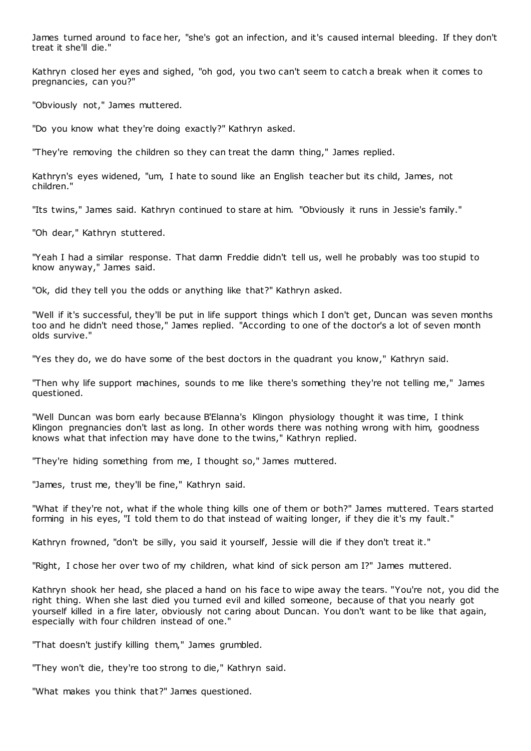James turned around to face her, "she's got an infection, and it's caused internal bleeding. If they don't treat it she'll die."

Kathryn closed her eyes and sighed, "oh god, you two can't seem to catch a break when it comes to pregnancies, can you?"

"Obviously not," James muttered.

"Do you know what they're doing exactly?" Kathryn asked.

"They're removing the children so they can treat the damn thing," James replied.

Kathryn's eyes widened, "um, I hate to sound like an English teacher but its child, James, not children."

"Its twins," James said. Kathryn continued to stare at him. "Obviously it runs in Jessie's family."

"Oh dear," Kathryn stuttered.

"Yeah I had a similar response. That damn Freddie didn't tell us, well he probably was too stupid to know anyway," James said.

"Ok, did they tell you the odds or anything like that?" Kathryn asked.

"Well if it's successful, they'll be put in life support things which I don't get, Duncan was seven months too and he didn't need those," James replied. "According to one of the doctor's a lot of seven month olds survive."

"Yes they do, we do have some of the best doctors in the quadrant you know," Kathryn said.

"Then why life support machines, sounds to me like there's something they're not telling me," James questioned.

"Well Duncan was born early because B'Elanna's Klingon physiology thought it was time, I think Klingon pregnancies don't last as long. In other words there was nothing wrong with him, goodness knows what that infection may have done to the twins," Kathryn replied.

"They're hiding something from me, I thought so," James muttered.

"James, trust me, they'll be fine," Kathryn said.

"What if they're not, what if the whole thing kills one of them or both?" James muttered. Tears started forming in his eyes, "I told them to do that instead of waiting longer, if they die it's my fault."

Kathryn frowned, "don't be silly, you said it yourself, Jessie will die if they don't treat it."

"Right, I chose her over two of my children, what kind of sick person am I?" James muttered.

Kathryn shook her head, she placed a hand on his face to wipe away the tears. "You're not, you did the right thing. When she last died you turned evil and killed someone, because of that you nearly got yourself killed in a fire later, obviously not caring about Duncan. You don't want to be like that again, especially with four children instead of one."

"That doesn't justify killing them," James grumbled.

"They won't die, they're too strong to die," Kathryn said.

"What makes you think that?" James questioned.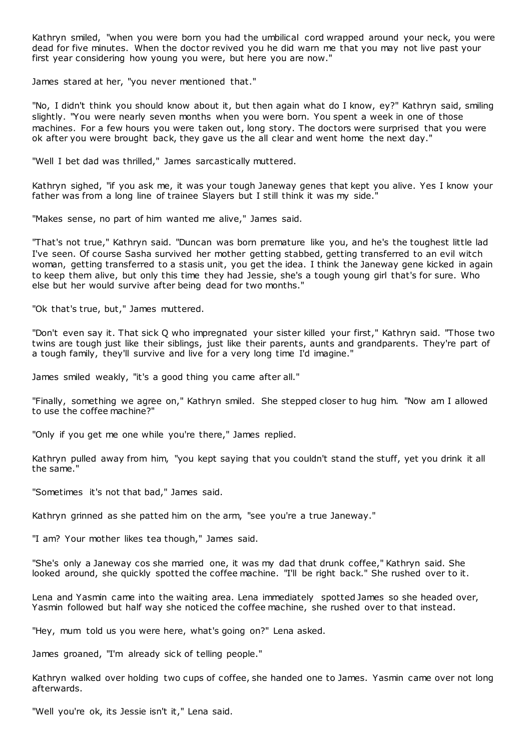Kathryn smiled, "when you were born you had the umbilical cord wrapped around your neck, you were dead for five minutes. When the doctor revived you he did warn me that you may not live past your first year considering how young you were, but here you are now."

James stared at her, "you never mentioned that."

"No, I didn't think you should know about it, but then again what do I know, ey?" Kathryn said, smiling slightly. "You were nearly seven months when you were born. You spent a week in one of those machines. For a few hours you were taken out, long story. The doctors were surprised that you were ok after you were brought back, they gave us the all clear and went home the next day."

"Well I bet dad was thrilled," James sarcastically muttered.

Kathryn sighed, "if you ask me, it was your tough Janeway genes that kept you alive. Yes I know your father was from a long line of trainee Slayers but I still think it was my side."

"Makes sense, no part of him wanted me alive," James said.

"That's not true," Kathryn said. "Duncan was born premature like you, and he's the toughest little lad I've seen. Of course Sasha survived her mother getting stabbed, getting transferred to an evil witch woman, getting transferred to a stasis unit, you get the idea. I think the Janeway gene kicked in again to keep them alive, but only this time they had Jessie, she's a tough young girl that's for sure. Who else but her would survive after being dead for two months."

"Ok that's true, but," James muttered.

"Don't even say it. That sick Q who impregnated your sister killed your first," Kathryn said. "Those two twins are tough just like their siblings, just like their parents, aunts and grandparents. They're part of a tough family, they'll survive and live for a very long time I'd imagine."

James smiled weakly, "it's a good thing you came after all."

"Finally, something we agree on," Kathryn smiled. She stepped closer to hug him. "Now am I allowed to use the coffee machine?"

"Only if you get me one while you're there," James replied.

Kathryn pulled away from him, "you kept saying that you couldn't stand the stuff, yet you drink it all the same."

"Sometimes it's not that bad," James said.

Kathryn grinned as she patted him on the arm, "see you're a true Janeway."

"I am? Your mother likes tea though," James said.

"She's only a Janeway cos she married one, it was my dad that drunk coffee," Kathryn said. She looked around, she quickly spotted the coffee machine. "I'll be right back." She rushed over to it.

Lena and Yasmin came into the waiting area. Lena immediately spotted James so she headed over, Yasmin followed but half way she noticed the coffee machine, she rushed over to that instead.

"Hey, mum told us you were here, what's going on?" Lena asked.

James groaned, "I'm already sick of telling people."

Kathryn walked over holding two cups of coffee, she handed one to James. Yasmin came over not long afterwards.

"Well you're ok, its Jessie isn't it," Lena said.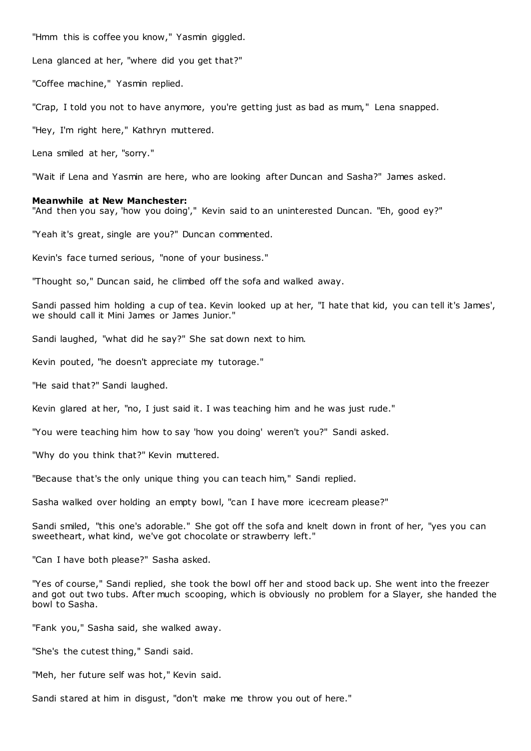"Hmm this is coffee you know," Yasmin giggled.

Lena glanced at her, "where did you get that?"

"Coffee machine," Yasmin replied.

"Crap, I told you not to have anymore, you're getting just as bad as mum," Lena snapped.

"Hey, I'm right here," Kathryn muttered.

Lena smiled at her, "sorry."

"Wait if Lena and Yasmin are here, who are looking after Duncan and Sasha?" James asked.

### **Meanwhile at New Manchester:**

"And then you say, 'how you doing'," Kevin said to an uninterested Duncan. "Eh, good ey?"

"Yeah it's great, single are you?" Duncan commented.

Kevin's face turned serious, "none of your business."

"Thought so," Duncan said, he climbed off the sofa and walked away.

Sandi passed him holding a cup of tea. Kevin looked up at her, "I hate that kid, you can tell it's James', we should call it Mini James or James Junior."

Sandi laughed, "what did he say?" She sat down next to him.

Kevin pouted, "he doesn't appreciate my tutorage."

"He said that?" Sandi laughed.

Kevin glared at her, "no, I just said it. I was teaching him and he was just rude."

"You were teaching him how to say 'how you doing' weren't you?" Sandi asked.

"Why do you think that?" Kevin muttered.

"Because that's the only unique thing you can teach him," Sandi replied.

Sasha walked over holding an empty bowl, "can I have more icecream please?"

Sandi smiled, "this one's adorable." She got off the sofa and knelt down in front of her, "yes you can sweetheart, what kind, we've got chocolate or strawberry left."

"Can I have both please?" Sasha asked.

"Yes of course," Sandi replied, she took the bowl off her and stood back up. She went into the freezer and got out two tubs. After much scooping, which is obviously no problem for a Slayer, she handed the bowl to Sasha.

"Fank you," Sasha said, she walked away.

"She's the cutest thing," Sandi said.

"Meh, her future self was hot," Kevin said.

Sandi stared at him in disgust, "don't make me throw you out of here."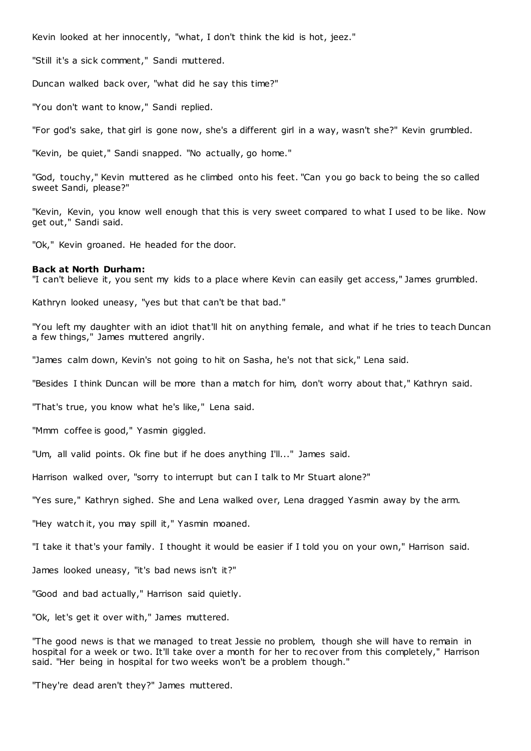Kevin looked at her innocently, "what, I don't think the kid is hot, jeez."

"Still it's a sick comment," Sandi muttered.

Duncan walked back over, "what did he say this time?"

"You don't want to know," Sandi replied.

"For god's sake, that girl is gone now, she's a different girl in a way, wasn't she?" Kevin grumbled.

"Kevin, be quiet," Sandi snapped. "No actually, go home."

"God, touchy," Kevin muttered as he climbed onto his feet. "Can you go back to being the so called sweet Sandi, please?"

"Kevin, Kevin, you know well enough that this is very sweet compared to what I used to be like. Now get out," Sandi said.

"Ok," Kevin groaned. He headed for the door.

## **Back at North Durham:**

"I can't believe it, you sent my kids to a place where Kevin can easily get access," James grumbled.

Kathryn looked uneasy, "yes but that can't be that bad."

"You left my daughter with an idiot that'll hit on anything female, and what if he tries to teach Duncan a few things," James muttered angrily.

"James calm down, Kevin's not going to hit on Sasha, he's not that sick," Lena said.

"Besides I think Duncan will be more than a match for him, don't worry about that," Kathryn said.

"That's true, you know what he's like," Lena said.

"Mmm coffee is good," Yasmin giggled.

"Um, all valid points. Ok fine but if he does anything I'll..." James said.

Harrison walked over, "sorry to interrupt but can I talk to Mr Stuart alone?"

"Yes sure," Kathryn sighed. She and Lena walked over, Lena dragged Yasmin away by the arm.

"Hey watch it, you may spill it," Yasmin moaned.

"I take it that's your family. I thought it would be easier if I told you on your own," Harrison said.

James looked uneasy, "it's bad news isn't it?"

"Good and bad actually," Harrison said quietly.

"Ok, let's get it over with," James muttered.

"The good news is that we managed to treat Jessie no problem, though she will have to remain in hospital for a week or two. It'll take over a month for her to rec over from this completely," Harrison said. "Her being in hospital for two weeks won't be a problem though."

"They're dead aren't they?" James muttered.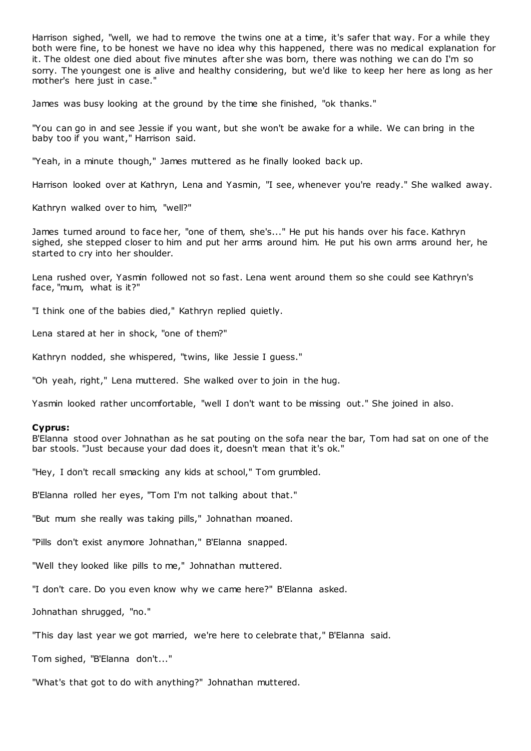Harrison sighed, "well, we had to remove the twins one at a time, it's safer that way. For a while they both were fine, to be honest we have no idea why this happened, there was no medical explanation for it. The oldest one died about five minutes after she was born, there was nothing we can do I'm so sorry. The youngest one is alive and healthy considering, but we'd like to keep her here as long as her mother's here just in case."

James was busy looking at the ground by the time she finished, "ok thanks."

"You can go in and see Jessie if you want, but she won't be awake for a while. We can bring in the baby too if you want," Harrison said.

"Yeah, in a minute though," James muttered as he finally looked back up.

Harrison looked over at Kathryn, Lena and Yasmin, "I see, whenever you're ready." She walked away.

Kathryn walked over to him, "well?"

James turned around to face her, "one of them, she's..." He put his hands over his face. Kathryn sighed, she stepped closer to him and put her arms around him. He put his own arms around her, he started to cry into her shoulder.

Lena rushed over, Yasmin followed not so fast. Lena went around them so she could see Kathryn's face, "mum, what is it?"

"I think one of the babies died," Kathryn replied quietly.

Lena stared at her in shock, "one of them?"

Kathryn nodded, she whispered, "twins, like Jessie I guess."

"Oh yeah, right," Lena muttered. She walked over to join in the hug.

Yasmin looked rather uncomfortable, "well I don't want to be missing out." She joined in also.

### **Cyprus:**

B'Elanna stood over Johnathan as he sat pouting on the sofa near the bar, Tom had sat on one of the bar stools. "Just because your dad does it, doesn't mean that it's ok."

"Hey, I don't recall smacking any kids at school," Tom grumbled.

B'Elanna rolled her eyes, "Tom I'm not talking about that."

"But mum she really was taking pills," Johnathan moaned.

"Pills don't exist anymore Johnathan," B'Elanna snapped.

"Well they looked like pills to me," Johnathan muttered.

"I don't care. Do you even know why we came here?" B'Elanna asked.

Johnathan shrugged, "no."

"This day last year we got married, we're here to celebrate that," B'Elanna said.

Tom sighed, "B'Elanna don't..."

"What's that got to do with anything?" Johnathan muttered.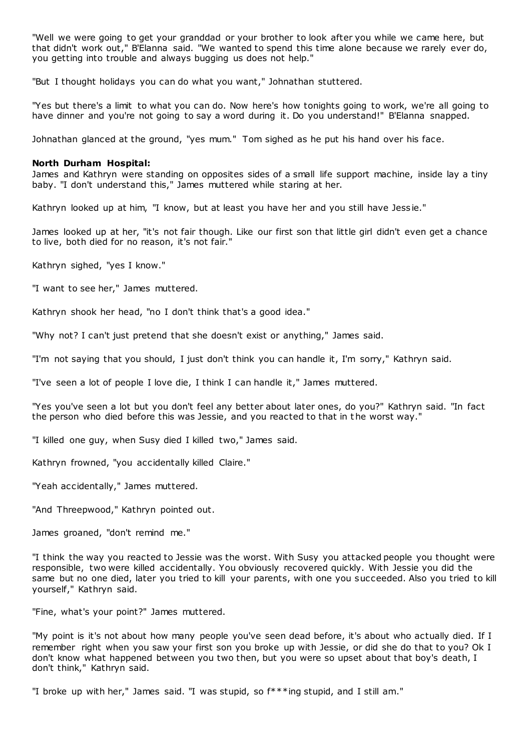"Well we were going to get your granddad or your brother to look after you while we came here, but that didn't work out," B'Elanna said. "We wanted to spend this time alone because we rarely ever do, you getting into trouble and always bugging us does not help."

"But I thought holidays you can do what you want," Johnathan stuttered.

"Yes but there's a limit to what you can do. Now here's how tonights going to work, we're all going to have dinner and you're not going to say a word during it. Do you understand!" B'Elanna snapped.

Johnathan glanced at the ground, "yes mum." Tom sighed as he put his hand over his face.

# **North Durham Hospital:**

James and Kathryn were standing on opposites sides of a small life support machine, inside lay a tiny baby. "I don't understand this," James muttered while staring at her.

Kathryn looked up at him, "I know, but at least you have her and you still have Jessie."

James looked up at her, "it's not fair though. Like our first son that little girl didn't even get a chance to live, both died for no reason, it's not fair."

Kathryn sighed, "yes I know."

"I want to see her," James muttered.

Kathryn shook her head, "no I don't think that's a good idea."

"Why not? I can't just pretend that she doesn't exist or anything," James said.

"I'm not saying that you should, I just don't think you can handle it, I'm sorry," Kathryn said.

"I've seen a lot of people I love die, I think I can handle it," James muttered.

"Yes you've seen a lot but you don't feel any better about later ones, do you?" Kathryn said. "In fact the person who died before this was Jessie, and you reacted to that in t he worst way."

"I killed one guy, when Susy died I killed two," James said.

Kathryn frowned, "you accidentally killed Claire."

"Yeah accidentally," James muttered.

"And Threepwood," Kathryn pointed out.

James groaned, "don't remind me."

"I think the way you reacted to Jessie was the worst. With Susy you attacked people you thought were responsible, two were killed accidentally. You obviously recovered quickly. With Jessie you did the same but no one died, later you tried to kill your parents, with one you succeeded. Also you tried to kill yourself," Kathryn said.

"Fine, what's your point?" James muttered.

"My point is it's not about how many people you've seen dead before, it's about who actually died. If I remember right when you saw your first son you broke up with Jessie, or did she do that to you? Ok I don't know what happened between you two then, but you were so upset about that boy's death, I don't think," Kathryn said.

"I broke up with her," James said. "I was stupid, so f\*\*\*ing stupid, and I still am."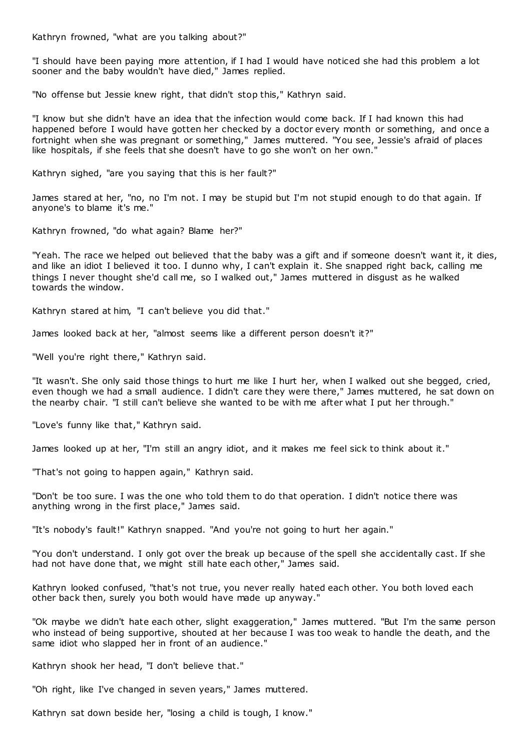Kathryn frowned, "what are you talking about?"

"I should have been paying more attention, if I had I would have noticed she had this problem a lot sooner and the baby wouldn't have died," James replied.

"No offense but Jessie knew right, that didn't stop this," Kathryn said.

"I know but she didn't have an idea that the infection would come back. If I had known this had happened before I would have gotten her checked by a doctor every month or something, and once a fortnight when she was pregnant or something," James muttered. "You see, Jessie's afraid of places like hospitals, if she feels that she doesn't have to go she won't on her own."

Kathryn sighed, "are you saying that this is her fault?"

James stared at her, "no, no I'm not. I may be stupid but I'm not stupid enough to do that again. If anyone's to blame it's me."

Kathryn frowned, "do what again? Blame her?"

"Yeah. The race we helped out believed that the baby was a gift and if someone doesn't want it, it dies, and like an idiot I believed it too. I dunno why, I can't explain it. She snapped right back, calling me things I never thought she'd call me, so I walked out," James muttered in disgust as he walked towards the window.

Kathryn stared at him, "I can't believe you did that."

James looked back at her, "almost seems like a different person doesn't it?"

"Well you're right there," Kathryn said.

"It wasn't. She only said those things to hurt me like I hurt her, when I walked out she begged, cried, even though we had a small audience. I didn't care they were there," James muttered, he sat down on the nearby chair. "I still can't believe she wanted to be with me after what I put her through."

"Love's funny like that," Kathryn said.

James looked up at her, "I'm still an angry idiot, and it makes me feel sick to think about it."

"That's not going to happen again," Kathryn said.

"Don't be too sure. I was the one who told them to do that operation. I didn't notice there was anything wrong in the first place," James said.

"It's nobody's fault!" Kathryn snapped. "And you're not going to hurt her again."

"You don't understand. I only got over the break up because of the spell she accidentally cast. If she had not have done that, we might still hate each other," James said.

Kathryn looked confused, "that's not true, you never really hated each other. You both loved each other back then, surely you both would have made up anyway."

"Ok maybe we didn't hate each other, slight exaggeration," James muttered. "But I'm the same person who instead of being supportive, shouted at her because I was too weak to handle the death, and the same idiot who slapped her in front of an audience."

Kathryn shook her head, "I don't believe that."

"Oh right, like I've changed in seven years," James muttered.

Kathryn sat down beside her, "losing a child is tough, I know."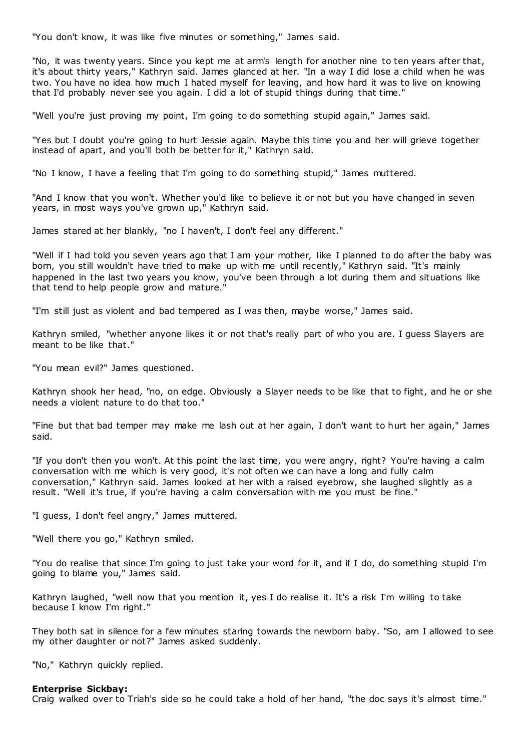"You don't know, it was like five minutes or something," James said.

"No, it was twenty years. Since you kept me at arm's length for another nine to ten years after that, it's about thirty years," Kathryn said. James glanced at her. "In a way I did lose a child when he was two. You have no idea how much I hated myself for leaving, and how hard it was to live on knowing that I'd probably never see you again. I did a lot of stupid things during that time."

"Well you're just proving my point, I'm going to do something stupid again," James said.

"Yes but I doubt you're going to hurt Jessie again. Maybe this time you and her will grieve together instead of apart, and you'll both be better for it," Kathryn said.

"No I know, I have a feeling that I'm going to do something stupid," James muttered.

"And I know that you won't. Whether you'd like to believe it or not but you have changed in seven years, in most ways you've grown up," Kathryn said.

James stared at her blankly, "no I haven't, I don't feel any different."

"Well if I had told you seven years ago that I am your mother, like I planned to do after the baby was born, you still wouldn't have tried to make up with me until recently," Kathryn said. "It's mainly happened in the last two years you know, you've been through a lot during them and situations like that tend to help people grow and mature.

"I'm still just as violent and bad tempered as I was then, maybe worse," James said.

Kathryn smiled, "whether anyone likes it or not that's really part of who you are. I guess Slayers are meant to be like that."

"You mean evil?" James questioned.

Kathryn shook her head, "no, on edge. Obviously a Slayer needs to be like that to fight, and he or she needs a violent nature to do that too."

"Fine but that bad temper may make me lash out at her again, I don't want to hurt her again," James said.

"If you don't then you won't. At this point the last time, you were angry, right? You're having a calm conversation with me which is very good, it's not often we can have a long and fully calm conversation," Kathryn said. James looked at her with a raised eyebrow, she laughed slightly as a result. "Well it's true, if you're having a calm conversation with me you must be fine."

"I guess, I don't feel angry," James muttered.

"Well there you go," Kathryn smiled.

"You do realise that since I'm going to just take your word for it, and if I do, do something stupid I'm going to blame you," James said.

Kathryn laughed, "well now that you mention it, yes I do realise it. It's a risk I'm willing to take because I know I'm right."

They both sat in silence for a few minutes staring towards the newborn baby. "So, am I allowed to see my other daughter or not?" James asked suddenly.

"No," Kathryn quickly replied.

### **Enterprise Sickbay:**

Craig walked over to Triah's side so he could take a hold of her hand, "the doc says it's almost time."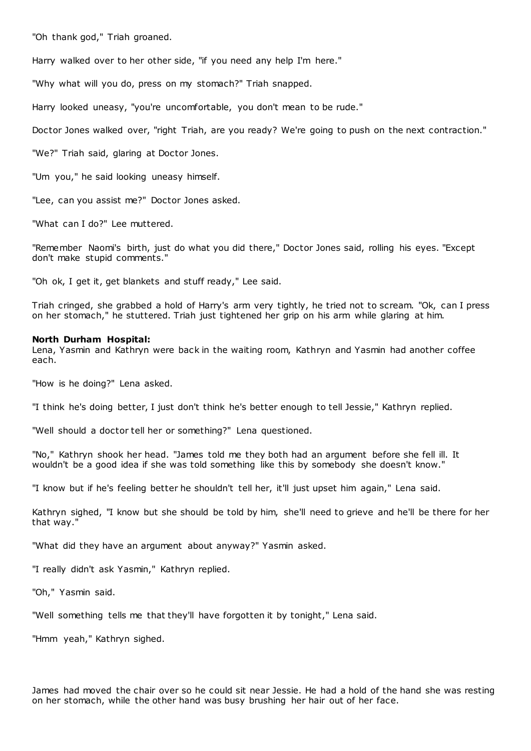"Oh thank god," Triah groaned.

Harry walked over to her other side, "if you need any help I'm here."

"Why what will you do, press on my stomach?" Triah snapped.

Harry looked uneasy, "you're uncomfortable, you don't mean to be rude."

Doctor Jones walked over, "right Triah, are you ready? We're going to push on the next contraction."

"We?" Triah said, glaring at Doctor Jones.

"Um you," he said looking uneasy himself.

"Lee, can you assist me?" Doctor Jones asked.

"What can I do?" Lee muttered.

"Remember Naomi's birth, just do what you did there," Doctor Jones said, rolling his eyes. "Except don't make stupid comments."

"Oh ok, I get it, get blankets and stuff ready," Lee said.

Triah cringed, she grabbed a hold of Harry's arm very tightly, he tried not to scream. "Ok, can I press on her stomach," he stuttered. Triah just tightened her grip on his arm while glaring at him.

### **North Durham Hospital:**

Lena, Yasmin and Kathryn were back in the waiting room, Kathryn and Yasmin had another coffee each.

"How is he doing?" Lena asked.

"I think he's doing better, I just don't think he's better enough to tell Jessie," Kathryn replied.

"Well should a doctor tell her or something?" Lena questioned.

"No," Kathryn shook her head. "James told me they both had an argument before she fell ill. It wouldn't be a good idea if she was told something like this by somebody she doesn't know."

"I know but if he's feeling better he shouldn't tell her, it'll just upset him again," Lena said.

Kathryn sighed, "I know but she should be told by him, she'll need to grieve and he'll be there for her that way."

"What did they have an argument about anyway?" Yasmin asked.

"I really didn't ask Yasmin," Kathryn replied.

"Oh," Yasmin said.

"Well something tells me that they'll have forgotten it by tonight," Lena said.

"Hmm yeah," Kathryn sighed.

James had moved the chair over so he could sit near Jessie. He had a hold of the hand she was resting on her stomach, while the other hand was busy brushing her hair out of her face.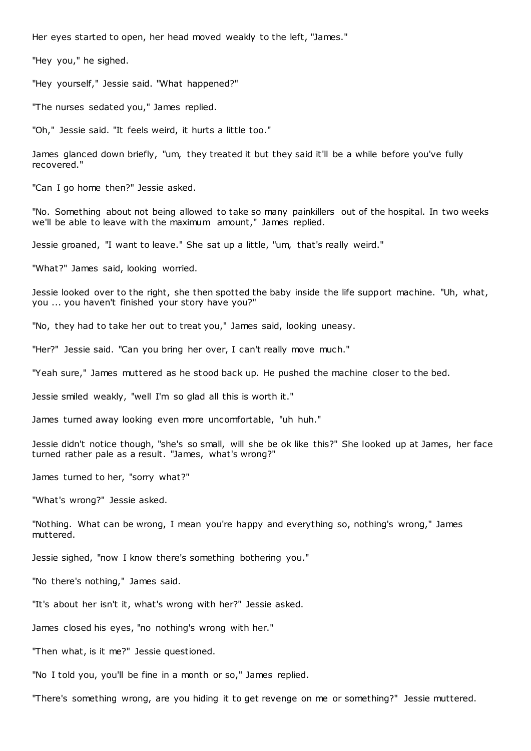Her eyes started to open, her head moved weakly to the left, "James."

"Hey you," he sighed.

"Hey yourself," Jessie said. "What happened?"

"The nurses sedated you," James replied.

"Oh," Jessie said. "It feels weird, it hurts a little too."

James glanced down briefly, "um, they treated it but they said it'll be a while before you've fully recovered."

"Can I go home then?" Jessie asked.

"No. Something about not being allowed to take so many painkillers out of the hospital. In two weeks we'll be able to leave with the maximum amount," James replied.

Jessie groaned, "I want to leave." She sat up a little, "um, that's really weird."

"What?" James said, looking worried.

Jessie looked over to the right, she then spotted the baby inside the life support machine. "Uh, what, you ... you haven't finished your story have you?"

"No, they had to take her out to treat you," James said, looking uneasy.

"Her?" Jessie said. "Can you bring her over, I can't really move much."

"Yeah sure," James muttered as he stood back up. He pushed the machine closer to the bed.

Jessie smiled weakly, "well I'm so glad all this is worth it."

James turned away looking even more uncomfortable, "uh huh."

Jessie didn't notice though, "she's so small, will she be ok like this?" She looked up at James, her face turned rather pale as a result. "James, what's wrong?"

James turned to her, "sorry what?"

"What's wrong?" Jessie asked.

"Nothing. What can be wrong, I mean you're happy and everything so, nothing's wrong," James muttered.

Jessie sighed, "now I know there's something bothering you."

"No there's nothing," James said.

"It's about her isn't it, what's wrong with her?" Jessie asked.

James closed his eyes, "no nothing's wrong with her."

"Then what, is it me?" Jessie questioned.

"No I told you, you'll be fine in a month or so," James replied.

"There's something wrong, are you hiding it to get revenge on me or something?" Jessie muttered.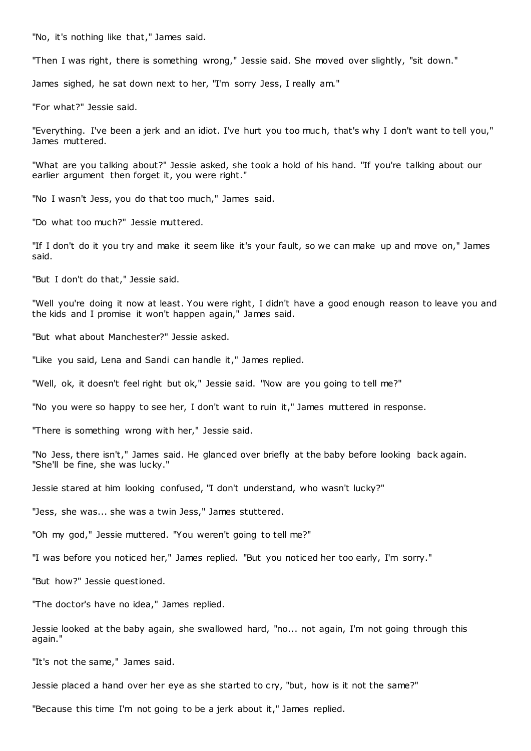"No, it's nothing like that," James said.

"Then I was right, there is something wrong," Jessie said. She moved over slightly, "sit down."

James sighed, he sat down next to her, "I'm sorry Jess, I really am."

"For what?" Jessie said.

"Everything. I've been a jerk and an idiot. I've hurt you too muc h, that's why I don't want to tell you," James muttered.

"What are you talking about?" Jessie asked, she took a hold of his hand. "If you're talking about our earlier argument then forget it, you were right."

"No I wasn't Jess, you do that too much," James said.

"Do what too much?" Jessie muttered.

"If I don't do it you try and make it seem like it's your fault, so we can make up and move on," James said.

"But I don't do that," Jessie said.

"Well you're doing it now at least. You were right, I didn't have a good enough reason to leave you and the kids and I promise it won't happen again," James said.

"But what about Manchester?" Jessie asked.

"Like you said, Lena and Sandi can handle it," James replied.

"Well, ok, it doesn't feel right but ok," Jessie said. "Now are you going to tell me?"

"No you were so happy to see her, I don't want to ruin it," James muttered in response.

"There is something wrong with her," Jessie said.

"No Jess, there isn't," James said. He glanced over briefly at the baby before looking back again. "She'll be fine, she was lucky."

Jessie stared at him looking confused, "I don't understand, who wasn't lucky?"

"Jess, she was... she was a twin Jess," James stuttered.

"Oh my god," Jessie muttered. "You weren't going to tell me?"

"I was before you noticed her," James replied. "But you noticed her too early, I'm sorry."

"But how?" Jessie questioned.

"The doctor's have no idea," James replied.

Jessie looked at the baby again, she swallowed hard, "no... not again, I'm not going through this again."

"It's not the same," James said.

Jessie placed a hand over her eye as she started to cry, "but, how is it not the same?"

"Because this time I'm not going to be a jerk about it," James replied.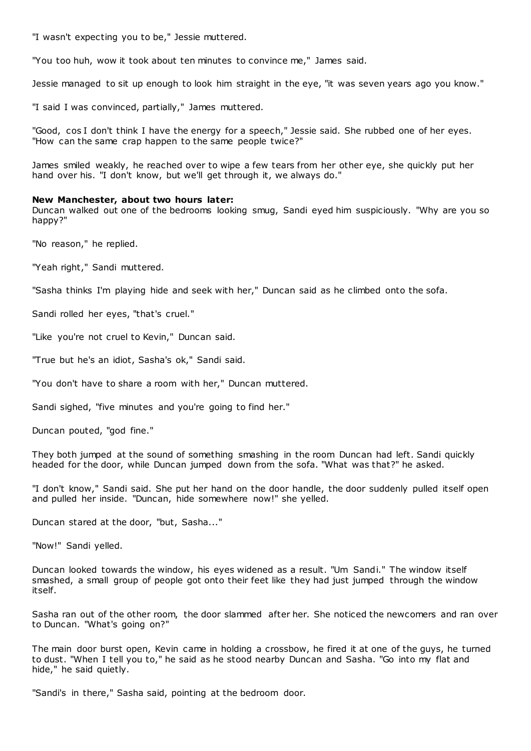"I wasn't expecting you to be," Jessie muttered.

"You too huh, wow it took about ten minutes to convince me," James said.

Jessie managed to sit up enough to look him straight in the eye, "it was seven years ago you know."

"I said I was convinced, partially," James muttered.

"Good, cos I don't think I have the energy for a speech," Jessie said. She rubbed one of her eyes. "How can the same crap happen to the same people twice?"

James smiled weakly, he reached over to wipe a few tears from her other eye, she quickly put her hand over his. "I don't know, but we'll get through it, we always do."

### **New Manchester, about two hours later:**

Duncan walked out one of the bedrooms looking smug, Sandi eyed him suspiciously. "Why are you so happy?"

"No reason," he replied.

"Yeah right," Sandi muttered.

"Sasha thinks I'm playing hide and seek with her," Duncan said as he climbed onto the sofa.

Sandi rolled her eyes, "that's cruel."

"Like you're not cruel to Kevin," Duncan said.

"True but he's an idiot, Sasha's ok," Sandi said.

"You don't have to share a room with her," Duncan muttered.

Sandi sighed, "five minutes and you're going to find her."

Duncan pouted, "god fine."

They both jumped at the sound of something smashing in the room Duncan had left. Sandi quickly headed for the door, while Duncan jumped down from the sofa. "What was that?" he asked.

"I don't know," Sandi said. She put her hand on the door handle, the door suddenly pulled itself open and pulled her inside. "Duncan, hide somewhere now!" she yelled.

Duncan stared at the door, "but, Sasha..."

"Now!" Sandi yelled.

Duncan looked towards the window, his eyes widened as a result. "Um Sandi." The window itself smashed, a small group of people got onto their feet like they had just jumped through the window itself.

Sasha ran out of the other room, the door slammed after her. She noticed the newcomers and ran over to Duncan. "What's going on?"

The main door burst open, Kevin came in holding a crossbow, he fired it at one of the guys, he turned to dust. "When I tell you to," he said as he stood nearby Duncan and Sasha. "Go into my flat and hide," he said quietly.

"Sandi's in there," Sasha said, pointing at the bedroom door.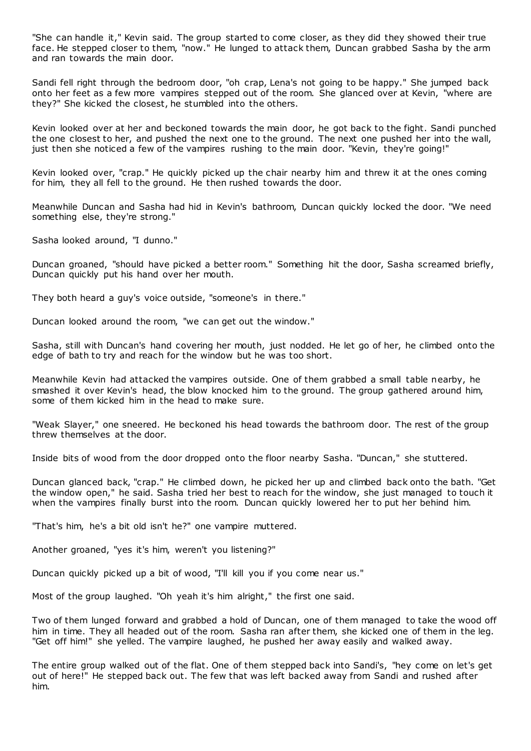"She can handle it," Kevin said. The group started to come closer, as they did they showed their true face. He stepped closer to them, "now." He lunged to attack them, Duncan grabbed Sasha by the arm and ran towards the main door.

Sandi fell right through the bedroom door, "oh crap, Lena's not going to be happy." She jumped back onto her feet as a few more vampires stepped out of the room. She glanced over at Kevin, "where are they?" She kicked the closest, he stumbled into the others.

Kevin looked over at her and beckoned towards the main door, he got back to the fight. Sandi punched the one closest to her, and pushed the next one to the ground. The next one pushed her into the wall, just then she noticed a few of the vampires rushing to the main door. "Kevin, they're going!"

Kevin looked over, "crap." He quickly picked up the chair nearby him and threw it at the ones coming for him, they all fell to the ground. He then rushed towards the door.

Meanwhile Duncan and Sasha had hid in Kevin's bathroom, Duncan quickly locked the door. "We need something else, they're strong."

Sasha looked around, "I dunno."

Duncan groaned, "should have picked a better room." Something hit the door, Sasha screamed briefly, Duncan quickly put his hand over her mouth.

They both heard a guy's voice outside, "someone's in there."

Duncan looked around the room, "we can get out the window."

Sasha, still with Duncan's hand covering her mouth, just nodded. He let go of her, he climbed onto the edge of bath to try and reach for the window but he was too short.

Meanwhile Kevin had attacked the vampires outside. One of them grabbed a small table nearby, he smashed it over Kevin's head, the blow knocked him to the ground. The group gathered around him, some of them kicked him in the head to make sure.

"Weak Slayer," one sneered. He beckoned his head towards the bathroom door. The rest of the group threw themselves at the door.

Inside bits of wood from the door dropped onto the floor nearby Sasha. "Duncan," she stuttered.

Duncan glanced back, "crap." He climbed down, he picked her up and climbed back onto the bath. "Get the window open," he said. Sasha tried her best to reach for the window, she just managed to touch it when the vampires finally burst into the room. Duncan quickly lowered her to put her behind him.

"That's him, he's a bit old isn't he?" one vampire muttered.

Another groaned, "yes it's him, weren't you listening?"

Duncan quickly picked up a bit of wood, "I'll kill you if you come near us."

Most of the group laughed. "Oh yeah it's him alright," the first one said.

Two of them lunged forward and grabbed a hold of Duncan, one of them managed to take the wood off him in time. They all headed out of the room. Sasha ran after them, she kicked one of them in the leg. "Get off him!" she yelled. The vampire laughed, he pushed her away easily and walked away.

The entire group walked out of the flat. One of them stepped back into Sandi's, "hey come on let's get out of here!" He stepped back out. The few that was left backed away from Sandi and rushed after him.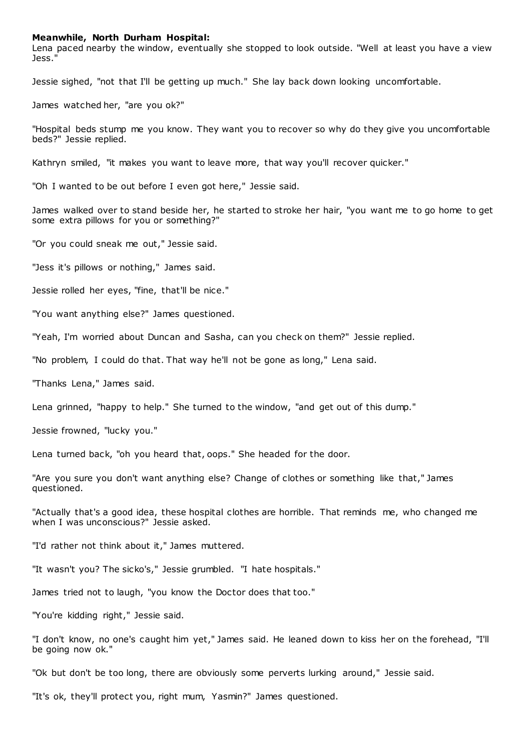### **Meanwhile, North Durham Hospital:**

Lena paced nearby the window, eventually she stopped to look outside. "Well at least you have a view Jess."

Jessie sighed, "not that I'll be getting up much." She lay back down looking uncomfortable.

James watched her, "are you ok?"

"Hospital beds stump me you know. They want you to recover so why do they give you uncomfortable beds?" Jessie replied.

Kathryn smiled, "it makes you want to leave more, that way you'll recover quicker."

"Oh I wanted to be out before I even got here," Jessie said.

James walked over to stand beside her, he started to stroke her hair, "you want me to go home to get some extra pillows for you or something?"

"Or you could sneak me out," Jessie said.

"Jess it's pillows or nothing," James said.

Jessie rolled her eyes, "fine, that'll be nice."

"You want anything else?" James questioned.

"Yeah, I'm worried about Duncan and Sasha, can you check on them?" Jessie replied.

"No problem, I could do that. That way he'll not be gone as long," Lena said.

"Thanks Lena," James said.

Lena grinned, "happy to help." She turned to the window, "and get out of this dump."

Jessie frowned, "lucky you."

Lena turned back, "oh you heard that, oops." She headed for the door.

"Are you sure you don't want anything else? Change of clothes or something like that," James questioned.

"Actually that's a good idea, these hospital clothes are horrible. That reminds me, who changed me when I was unconscious?" Jessie asked.

"I'd rather not think about it," James muttered.

"It wasn't you? The sicko's," Jessie grumbled. "I hate hospitals."

James tried not to laugh, "you know the Doctor does that too."

"You're kidding right," Jessie said.

"I don't know, no one's caught him yet," James said. He leaned down to kiss her on the forehead, "I'll be going now ok."

"Ok but don't be too long, there are obviously some perverts lurking around," Jessie said.

"It's ok, they'll protect you, right mum, Yasmin?" James questioned.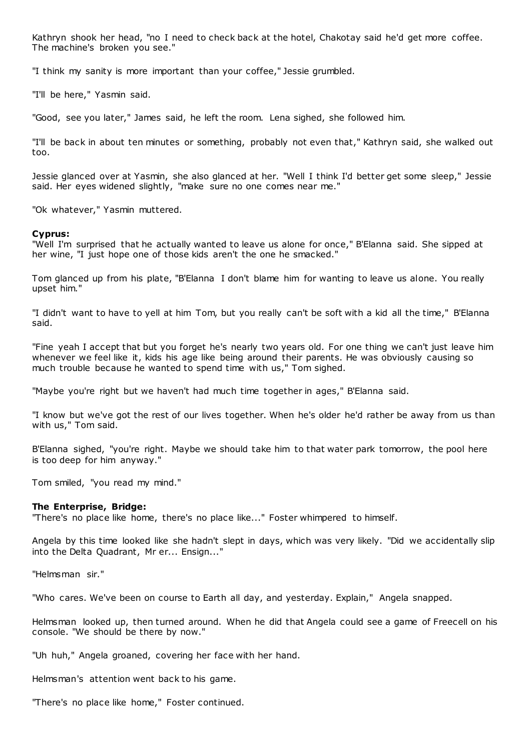Kathryn shook her head, "no I need to check back at the hotel, Chakotay said he'd get more coffee. The machine's broken you see."

"I think my sanity is more important than your coffee," Jessie grumbled.

"I'll be here," Yasmin said.

"Good, see you later," James said, he left the room. Lena sighed, she followed him.

"I'll be back in about ten minutes or something, probably not even that," Kathryn said, she walked out too.

Jessie glanced over at Yasmin, she also glanced at her. "Well I think I'd better get some sleep," Jessie said. Her eyes widened slightly, "make sure no one comes near me."

"Ok whatever," Yasmin muttered.

### **Cyprus:**

"Well I'm surprised that he actually wanted to leave us alone for once," B'Elanna said. She sipped at her wine, "I just hope one of those kids aren't the one he smacked."

Tom glanced up from his plate, "B'Elanna I don't blame him for wanting to leave us alone. You really upset him."

"I didn't want to have to yell at him Tom, but you really can't be soft with a kid all the time," B'Elanna said.

"Fine yeah I accept that but you forget he's nearly two years old. For one thing we can't just leave him whenever we feel like it, kids his age like being around their parents. He was obviously causing so much trouble because he wanted to spend time with us," Tom sighed.

"Maybe you're right but we haven't had much time together in ages," B'Elanna said.

"I know but we've got the rest of our lives together. When he's older he'd rather be away from us than with us," Tom said.

B'Elanna sighed, "you're right. Maybe we should take him to that water park tomorrow, the pool here is too deep for him anyway."

Tom smiled, "you read my mind."

### **The Enterprise, Bridge:**

"There's no place like home, there's no place like..." Foster whimpered to himself.

Angela by this time looked like she hadn't slept in days, which was very likely. "Did we accidentally slip into the Delta Quadrant, Mr er... Ensign..."

"Helmsman sir."

"Who cares. We've been on course to Earth all day, and yesterday. Explain," Angela snapped.

Helmsman looked up, then turned around. When he did that Angela could see a game of Freecell on his console. "We should be there by now."

"Uh huh," Angela groaned, covering her face with her hand.

Helmsman's attention went back to his game.

"There's no place like home," Foster continued.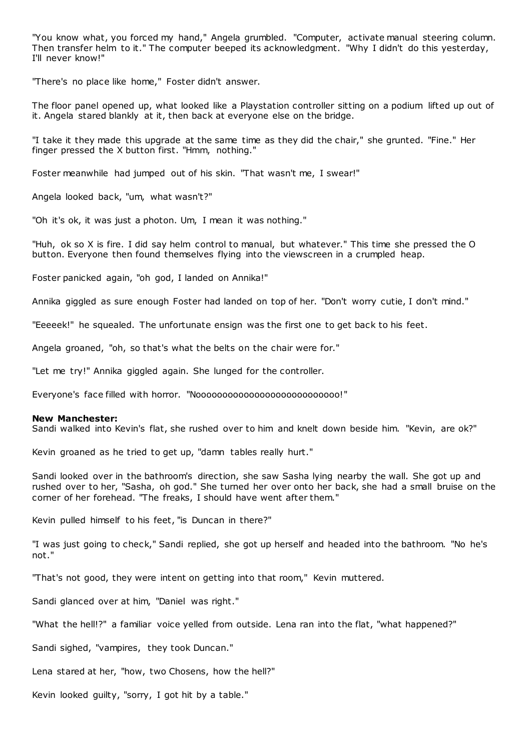"You know what, you forced my hand," Angela grumbled. "Computer, activate manual steering column. Then transfer helm to it." The computer beeped its acknowledgment. "Why I didn't do this yesterday, I'll never know!"

"There's no place like home," Foster didn't answer.

The floor panel opened up, what looked like a Playstation controller sitting on a podium lifted up out of it. Angela stared blankly at it, then back at everyone else on the bridge.

"I take it they made this upgrade at the same time as they did the chair," she grunted. "Fine." Her finger pressed the X button first. "Hmm, nothing."

Foster meanwhile had jumped out of his skin. "That wasn't me, I swear!"

Angela looked back, "um, what wasn't?"

"Oh it's ok, it was just a photon. Um, I mean it was nothing."

"Huh, ok so X is fire. I did say helm control to manual, but whatever." This time she pressed the O button. Everyone then found themselves flying into the viewscreen in a crumpled heap.

Foster panicked again, "oh god, I landed on Annika!"

Annika giggled as sure enough Foster had landed on top of her. "Don't worry cutie, I don't mind."

"Eeeeek!" he squealed. The unfortunate ensign was the first one to get back to his feet.

Angela groaned, "oh, so that's what the belts on the chair were for."

"Let me try!" Annika giggled again. She lunged for the controller.

Everyone's face filled with horror. "Nooooooooooooooooooooooooooo!"

### **New Manchester:**

Sandi walked into Kevin's flat, she rushed over to him and knelt down beside him. "Kevin, are ok?"

Kevin groaned as he tried to get up, "damn tables really hurt."

Sandi looked over in the bathroom's direction, she saw Sasha lying nearby the wall. She got up and rushed over to her, "Sasha, oh god." She turned her over onto her back, she had a small bruise on the corner of her forehead. "The freaks, I should have went after them."

Kevin pulled himself to his feet, "is Duncan in there?"

"I was just going to check," Sandi replied, she got up herself and headed into the bathroom. "No he's not."

"That's not good, they were intent on getting into that room," Kevin muttered.

Sandi glanced over at him, "Daniel was right."

"What the hell!?" a familiar voice yelled from outside. Lena ran into the flat, "what happened?"

Sandi sighed, "vampires, they took Duncan."

Lena stared at her, "how, two Chosens, how the hell?"

Kevin looked guilty, "sorry, I got hit by a table."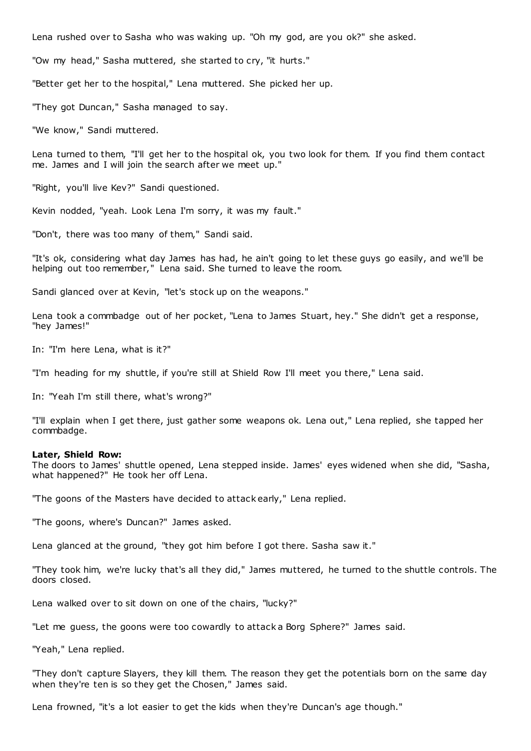Lena rushed over to Sasha who was waking up. "Oh my god, are you ok?" she asked.

"Ow my head," Sasha muttered, she started to cry, "it hurts."

"Better get her to the hospital," Lena muttered. She picked her up.

"They got Duncan," Sasha managed to say.

"We know," Sandi muttered.

Lena turned to them, "I'll get her to the hospital ok, you two look for them. If you find them contact me. James and I will join the search after we meet up."

"Right, you'll live Kev?" Sandi questioned.

Kevin nodded, "yeah. Look Lena I'm sorry, it was my fault."

"Don't, there was too many of them," Sandi said.

"It's ok, considering what day James has had, he ain't going to let these guys go easily, and we'll be helping out too remember," Lena said. She turned to leave the room.

Sandi glanced over at Kevin, "let's stock up on the weapons."

Lena took a commbadge out of her pocket, "Lena to James Stuart, hey." She didn't get a response, "hey James!"

In: "I'm here Lena, what is it?"

"I'm heading for my shuttle, if you're still at Shield Row I'll meet you there," Lena said.

In: "Yeah I'm still there, what's wrong?"

"I'll explain when I get there, just gather some weapons ok. Lena out," Lena replied, she tapped her commbadge.

### **Later, Shield Row:**

The doors to James' shuttle opened, Lena stepped inside. James' eyes widened when she did, "Sasha, what happened?" He took her off Lena.

"The goons of the Masters have decided to attack early," Lena replied.

"The goons, where's Duncan?" James asked.

Lena glanced at the ground, "they got him before I got there. Sasha saw it."

"They took him, we're lucky that's all they did," James muttered, he turned to the shuttle controls. The doors closed.

Lena walked over to sit down on one of the chairs, "lucky?"

"Let me guess, the goons were too cowardly to attack a Borg Sphere?" James said.

"Yeah," Lena replied.

"They don't capture Slayers, they kill them. The reason they get the potentials born on the same day when they're ten is so they get the Chosen," James said.

Lena frowned, "it's a lot easier to get the kids when they're Duncan's age though."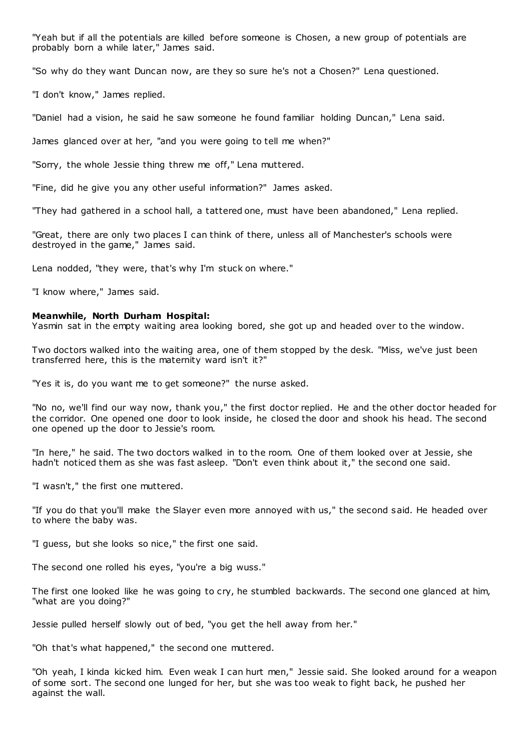"Yeah but if all the potentials are killed before someone is Chosen, a new group of potentials are probably born a while later," James said.

"So why do they want Duncan now, are they so sure he's not a Chosen?" Lena questioned.

"I don't know," James replied.

"Daniel had a vision, he said he saw someone he found familiar holding Duncan," Lena said.

James glanced over at her, "and you were going to tell me when?"

"Sorry, the whole Jessie thing threw me off," Lena muttered.

"Fine, did he give you any other useful information?" James asked.

"They had gathered in a school hall, a tattered one, must have been abandoned," Lena replied.

"Great, there are only two places I can think of there, unless all of Manchester's schools were destroyed in the game," James said.

Lena nodded, "they were, that's why I'm stuck on where."

"I know where," James said.

# **Meanwhile, North Durham Hospital:**

Yasmin sat in the empty waiting area looking bored, she got up and headed over to the window.

Two doctors walked into the waiting area, one of them stopped by the desk. "Miss, we've just been transferred here, this is the maternity ward isn't it?"

"Yes it is, do you want me to get someone?" the nurse asked.

"No no, we'll find our way now, thank you," the first doctor replied. He and the other doctor headed for the corridor. One opened one door to look inside, he closed the door and shook his head. The second one opened up the door to Jessie's room.

"In here," he said. The two doctors walked in to the room. One of them looked over at Jessie, she hadn't noticed them as she was fast asleep. "Don't even think about it," the second one said.

"I wasn't," the first one muttered.

"If you do that you'll make the Slayer even more annoyed with us," the second said. He headed over to where the baby was.

"I guess, but she looks so nice," the first one said.

The second one rolled his eyes, "you're a big wuss."

The first one looked like he was going to cry, he stumbled backwards. The second one glanced at him, "what are you doing?"

Jessie pulled herself slowly out of bed, "you get the hell away from her."

"Oh that's what happened," the second one muttered.

"Oh yeah, I kinda kicked him. Even weak I can hurt men," Jessie said. She looked around for a weapon of some sort. The second one lunged for her, but she was too weak to fight back, he pushed her against the wall.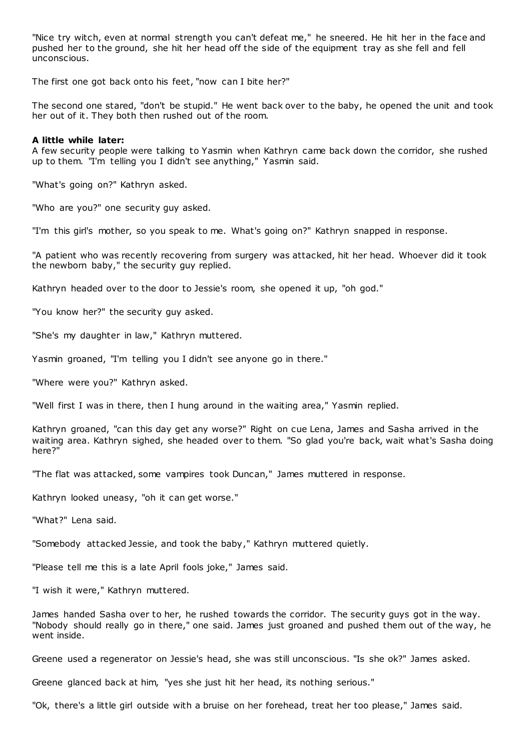"Nice try witch, even at normal strength you can't defeat me," he sneered. He hit her in the face and pushed her to the ground, she hit her head off the side of the equipment tray as she fell and fell unconscious.

The first one got back onto his feet, "now can I bite her?"

The second one stared, "don't be stupid." He went back over to the baby, he opened the unit and took her out of it. They both then rushed out of the room.

# **A little while later:**

A few security people were talking to Yasmin when Kathryn came back down the corridor, she rushed up to them. "I'm telling you I didn't see anything," Yasmin said.

"What's going on?" Kathryn asked.

"Who are you?" one security guy asked.

"I'm this girl's mother, so you speak to me. What's going on?" Kathryn snapped in response.

"A patient who was recently recovering from surgery was attacked, hit her head. Whoever did it took the newborn baby," the security guy replied.

Kathryn headed over to the door to Jessie's room, she opened it up, "oh god."

"You know her?" the security guy asked.

"She's my daughter in law," Kathryn muttered.

Yasmin groaned, "I'm telling you I didn't see anyone go in there."

"Where were you?" Kathryn asked.

"Well first I was in there, then I hung around in the waiting area," Yasmin replied.

Kathryn groaned, "can this day get any worse?" Right on cue Lena, James and Sasha arrived in the waiting area. Kathryn sighed, she headed over to them. "So glad you're back, wait what's Sasha doing here?"

"The flat was attacked, some vampires took Duncan," James muttered in response.

Kathryn looked uneasy, "oh it can get worse."

"What?" Lena said.

"Somebody attacked Jessie, and took the baby," Kathryn muttered quietly.

"Please tell me this is a late April fools joke," James said.

"I wish it were," Kathryn muttered.

James handed Sasha over to her, he rushed towards the corridor. The security guys got in the way. "Nobody should really go in there," one said. James just groaned and pushed them out of the way, he went inside.

Greene used a regenerator on Jessie's head, she was still unconscious. "Is she ok?" James asked.

Greene glanced back at him, "yes she just hit her head, its nothing serious."

"Ok, there's a little girl outside with a bruise on her forehead, treat her too please," James said.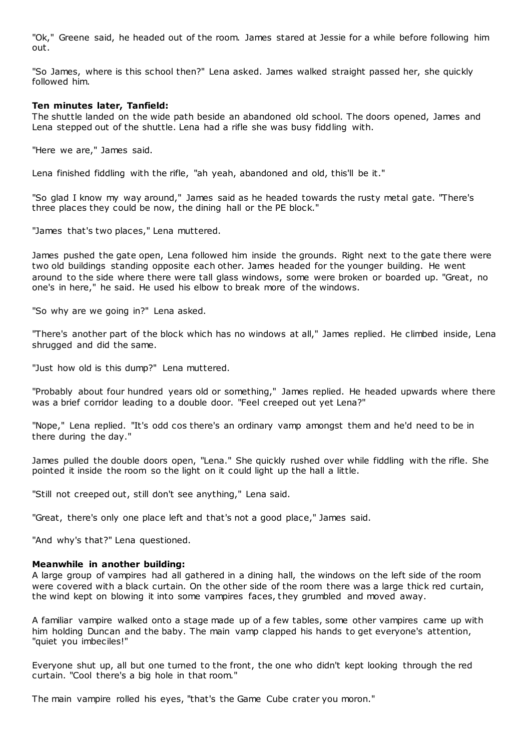"Ok," Greene said, he headed out of the room. James stared at Jessie for a while before following him out.

"So James, where is this school then?" Lena asked. James walked straight passed her, she quickly followed him.

## **Ten minutes later, Tanfield:**

The shuttle landed on the wide path beside an abandoned old school. The doors opened, James and Lena stepped out of the shuttle. Lena had a rifle she was busy fiddling with.

"Here we are," James said.

Lena finished fiddling with the rifle, "ah yeah, abandoned and old, this'll be it."

"So glad I know my way around," James said as he headed towards the rusty metal gate. "There's three places they could be now, the dining hall or the PE block."

"James that's two places," Lena muttered.

James pushed the gate open, Lena followed him inside the grounds. Right next to the gate there were two old buildings standing opposite each other. James headed for the younger building. He went around to the side where there were tall glass windows, some were broken or boarded up. "Great, no one's in here," he said. He used his elbow to break more of the windows.

"So why are we going in?" Lena asked.

"There's another part of the block which has no windows at all," James replied. He climbed inside, Lena shrugged and did the same.

"Just how old is this dump?" Lena muttered.

"Probably about four hundred years old or something," James replied. He headed upwards where there was a brief corridor leading to a double door. "Feel creeped out yet Lena?"

"Nope," Lena replied. "It's odd cos there's an ordinary vamp amongst them and he'd need to be in there during the day."

James pulled the double doors open, "Lena." She quickly rushed over while fiddling with the rifle. She pointed it inside the room so the light on it could light up the hall a little.

"Still not creeped out, still don't see anything," Lena said.

"Great, there's only one place left and that's not a good place," James said.

"And why's that?" Lena questioned.

### **Meanwhile in another building:**

A large group of vampires had all gathered in a dining hall, the windows on the left side of the room were covered with a black curtain. On the other side of the room there was a large thick red curtain, the wind kept on blowing it into some vampires faces, they grumbled and moved away.

A familiar vampire walked onto a stage made up of a few tables, some other vampires came up with him holding Duncan and the baby. The main vamp clapped his hands to get everyone's attention, "quiet you imbeciles!"

Everyone shut up, all but one turned to the front, the one who didn't kept looking through the red curtain. "Cool there's a big hole in that room."

The main vampire rolled his eyes, "that's the Game Cube crater you moron."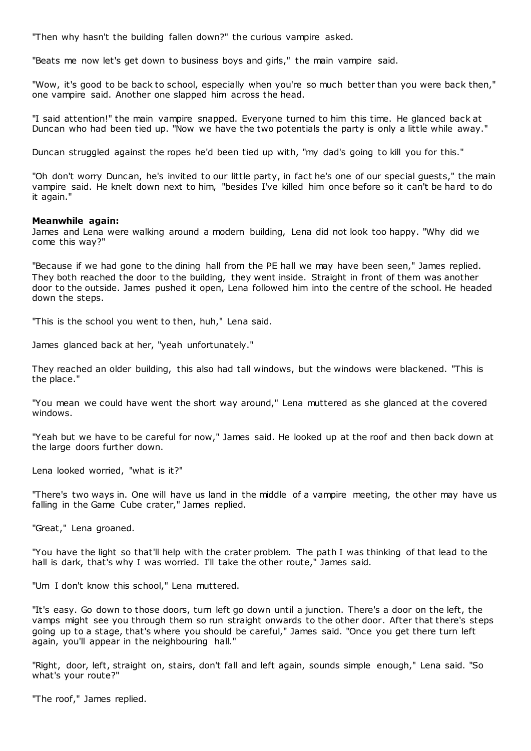"Then why hasn't the building fallen down?" the curious vampire asked.

"Beats me now let's get down to business boys and girls," the main vampire said.

"Wow, it's good to be back to school, especially when you're so much better than you were back then," one vampire said. Another one slapped him across the head.

"I said attention!" the main vampire snapped. Everyone turned to him this time. He glanced back at Duncan who had been tied up. "Now we have the two potentials the party is only a little while away."

Duncan struggled against the ropes he'd been tied up with, "my dad's going to kill you for this."

"Oh don't worry Duncan, he's invited to our little party, in fact he's one of our special guests," the main vampire said. He knelt down next to him, "besides I've killed him once before so it can't be hard to do it again."

### **Meanwhile again:**

James and Lena were walking around a modern building, Lena did not look too happy. "Why did we come this way?"

"Because if we had gone to the dining hall from the PE hall we may have been seen," James replied. They both reached the door to the building, they went inside. Straight in front of them was another door to the outside. James pushed it open, Lena followed him into the centre of the school. He headed down the steps.

"This is the school you went to then, huh," Lena said.

James glanced back at her, "yeah unfortunately."

They reached an older building, this also had tall windows, but the windows were blackened. "This is the place."

"You mean we could have went the short way around," Lena muttered as she glanced at the covered windows.

"Yeah but we have to be careful for now," James said. He looked up at the roof and then back down at the large doors further down.

Lena looked worried, "what is it?"

"There's two ways in. One will have us land in the middle of a vampire meeting, the other may have us falling in the Game Cube crater," James replied.

"Great," Lena groaned.

"You have the light so that'll help with the crater problem. The path I was thinking of that lead to the hall is dark, that's why I was worried. I'll take the other route," James said.

"Um I don't know this school," Lena muttered.

"It's easy. Go down to those doors, turn left go down until a junction. There's a door on the left, the vamps might see you through them so run straight onwards to the other door. After that there's steps going up to a stage, that's where you should be careful," James said. "Once you get there turn left again, you'll appear in the neighbouring hall."

"Right, door, left, straight on, stairs, don't fall and left again, sounds simple enough," Lena said. "So what's your route?"

"The roof," James replied.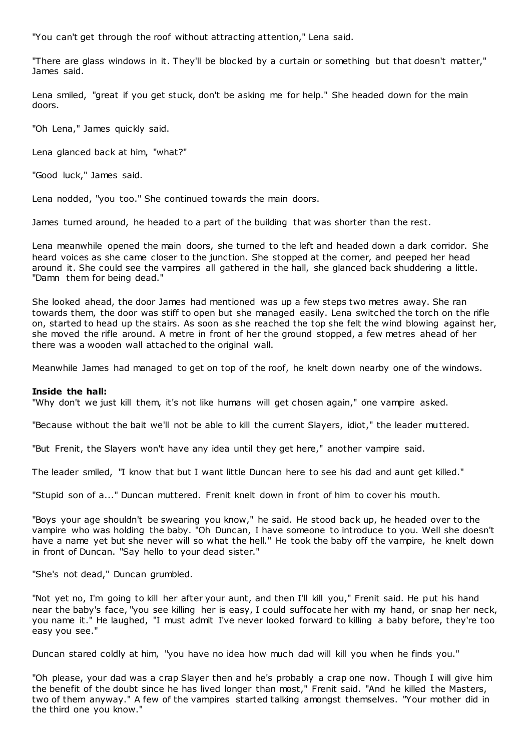"You can't get through the roof without attracting attention," Lena said.

"There are glass windows in it. They'll be blocked by a curtain or something but that doesn't matter," James said.

Lena smiled, "great if you get stuck, don't be asking me for help." She headed down for the main doors.

"Oh Lena," James quickly said.

Lena glanced back at him, "what?"

"Good luck," James said.

Lena nodded, "you too." She continued towards the main doors.

James turned around, he headed to a part of the building that was shorter than the rest.

Lena meanwhile opened the main doors, she turned to the left and headed down a dark corridor. She heard voices as she came closer to the junction. She stopped at the corner, and peeped her head around it. She could see the vampires all gathered in the hall, she glanced back shuddering a little. "Damn them for being dead."

She looked ahead, the door James had mentioned was up a few steps two metres away. She ran towards them, the door was stiff to open but she managed easily. Lena switched the torch on the rifle on, started to head up the stairs. As soon as she reached the top she felt the wind blowing against her, she moved the rifle around. A metre in front of her the ground stopped, a few metres ahead of her there was a wooden wall attached to the original wall.

Meanwhile James had managed to get on top of the roof, he knelt down nearby one of the windows.

# **Inside the hall:**

"Why don't we just kill them, it's not like humans will get chosen again," one vampire asked.

"Because without the bait we'll not be able to kill the current Slayers, idiot," the leader muttered.

"But Frenit, the Slayers won't have any idea until they get here," another vampire said.

The leader smiled, "I know that but I want little Duncan here to see his dad and aunt get killed."

"Stupid son of a..." Duncan muttered. Frenit knelt down in f ront of him to cover his mouth.

"Boys your age shouldn't be swearing you know," he said. He stood back up, he headed over to the vampire who was holding the baby. "Oh Duncan, I have someone to introduce to you. Well she doesn't have a name yet but she never will so what the hell." He took the baby off the vampire, he knelt down in front of Duncan. "Say hello to your dead sister."

"She's not dead," Duncan grumbled.

"Not yet no, I'm going to kill her after your aunt, and then I'll kill you," Frenit said. He put his hand near the baby's face, "you see killing her is easy, I could suffocate her with my hand, or snap her neck, you name it." He laughed, "I must admit I've never looked forward to killing a baby before, they're too easy you see."

Duncan stared coldly at him, "you have no idea how much dad will kill you when he finds you."

"Oh please, your dad was a crap Slayer then and he's probably a crap one now. Though I will give him the benefit of the doubt since he has lived longer than most," Frenit said. "And he killed the Masters, two of them anyway." A few of the vampires started talking amongst themselves. "Your mother did in the third one you know."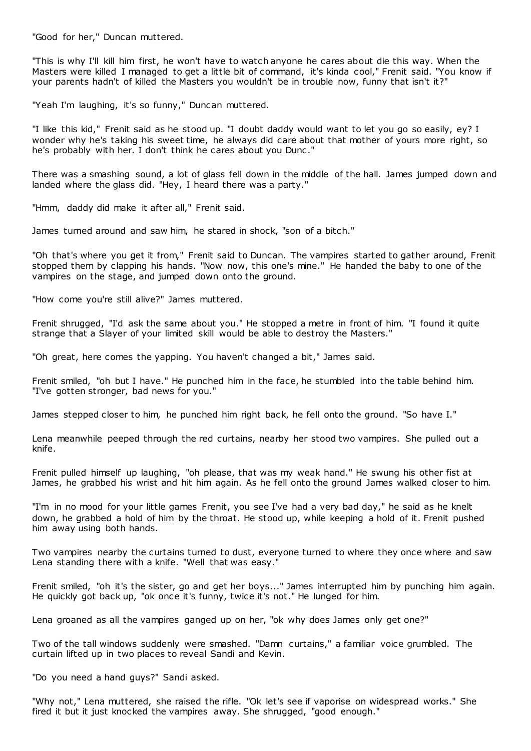"Good for her," Duncan muttered.

"This is why I'll kill him first, he won't have to watch anyone he cares about die this way. When the Masters were killed I managed to get a little bit of command, it's kinda cool," Frenit said. "You know if your parents hadn't of killed the Masters you wouldn't be in trouble now, funny that isn't it?"

"Yeah I'm laughing, it's so funny," Duncan muttered.

"I like this kid," Frenit said as he stood up. "I doubt daddy would want to let you go so easily, ey? I wonder why he's taking his sweet time, he always did care about that mother of yours more right, so he's probably with her. I don't think he cares about you Dunc."

There was a smashing sound, a lot of glass fell down in the middle of the hall. James jumped down and landed where the glass did. "Hey, I heard there was a party."

"Hmm, daddy did make it after all," Frenit said.

James turned around and saw him, he stared in shock, "son of a bitch."

"Oh that's where you get it from," Frenit said to Duncan. The vampires started to gather around, Frenit stopped them by clapping his hands. "Now now, this one's mine." He handed the baby to one of the vampires on the stage, and jumped down onto the ground.

"How come you're still alive?" James muttered.

Frenit shrugged, "I'd ask the same about you." He stopped a metre in front of him. "I found it quite strange that a Slayer of your limited skill would be able to destroy the Masters."

"Oh great, here comes the yapping. You haven't changed a bit," James said.

Frenit smiled, "oh but I have." He punched him in the face, he stumbled into the table behind him. "I've gotten stronger, bad news for you."

James stepped closer to him, he punched him right back, he fell onto the ground. "So have I."

Lena meanwhile peeped through the red curtains, nearby her stood two vampires. She pulled out a knife.

Frenit pulled himself up laughing, "oh please, that was my weak hand." He swung his other fist at James, he grabbed his wrist and hit him again. As he fell onto the ground James walked closer to him.

"I'm in no mood for your little games Frenit, you see I've had a very bad day," he said as he knelt down, he grabbed a hold of him by the throat. He stood up, while keeping a hold of it. Frenit pushed him away using both hands.

Two vampires nearby the curtains turned to dust, everyone turned to where they once where and saw Lena standing there with a knife. "Well that was easy."

Frenit smiled, "oh it's the sister, go and get her boys..." James interrupted him by punching him again. He quickly got back up, "ok once it's funny, twice it's not." He lunged for him.

Lena groaned as all the vampires ganged up on her, "ok why does James only get one?"

Two of the tall windows suddenly were smashed. "Damn curtains," a familiar voice grumbled. The curtain lifted up in two places to reveal Sandi and Kevin.

"Do you need a hand guys?" Sandi asked.

"Why not," Lena muttered, she raised the rifle. "Ok let's see if vaporise on widespread works." She fired it but it just knocked the vampires away. She shrugged, "good enough."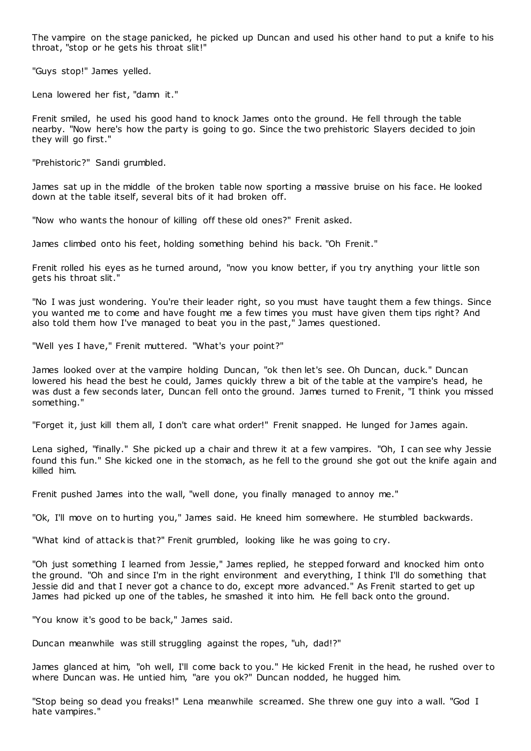The vampire on the stage panicked, he picked up Duncan and used his other hand to put a knife to his throat, "stop or he gets his throat slit!"

"Guys stop!" James yelled.

Lena lowered her fist, "damn it."

Frenit smiled, he used his good hand to knock James onto the ground. He fell through the table nearby. "Now here's how the party is going to go. Since the two prehistoric Slayers decided to join they will go first."

"Prehistoric?" Sandi grumbled.

James sat up in the middle of the broken table now sporting a massive bruise on his face. He looked down at the table itself, several bits of it had broken off.

"Now who wants the honour of killing off these old ones?" Frenit asked.

James climbed onto his feet, holding something behind his back. "Oh Frenit."

Frenit rolled his eyes as he turned around, "now you know better, if you try anything your little son gets his throat slit."

"No I was just wondering. You're their leader right, so you must have taught them a few things. Since you wanted me to come and have fought me a few times you must have given them tips right? And also told them how I've managed to beat you in the past," James questioned.

"Well yes I have," Frenit muttered. "What's your point?"

James looked over at the vampire holding Duncan, "ok then let's see. Oh Duncan, duck." Duncan lowered his head the best he could, James quickly threw a bit of the table at the vampire's head, he was dust a few seconds later, Duncan fell onto the ground. James turned to Frenit, "I think you missed something."

"Forget it, just kill them all, I don't care what order!" Frenit snapped. He lunged for James again.

Lena sighed, "finally." She picked up a chair and threw it at a few vampires. "Oh, I can see why Jessie found this fun." She kicked one in the stomach, as he fell to the ground she got out the knife again and killed him.

Frenit pushed James into the wall, "well done, you finally managed to annoy me."

"Ok, I'll move on to hurting you," James said. He kneed him somewhere. He stumbled backwards.

"What kind of attack is that?" Frenit grumbled, looking like he was going to cry.

"Oh just something I learned from Jessie," James replied, he stepped forward and knocked him onto the ground. "Oh and since I'm in the right environment and everything, I think I'll do something that Jessie did and that I never got a chance to do, except more advanced." As Frenit started to get up James had picked up one of the tables, he smashed it into him. He fell back onto the ground.

"You know it's good to be back," James said.

Duncan meanwhile was still struggling against the ropes, "uh, dad!?"

James glanced at him, "oh well, I'll come back to you." He kicked Frenit in the head, he rushed over to where Duncan was. He untied him, "are you ok?" Duncan nodded, he hugged him.

"Stop being so dead you freaks!" Lena meanwhile screamed. She threw one guy into a wall. "God I hate vampires."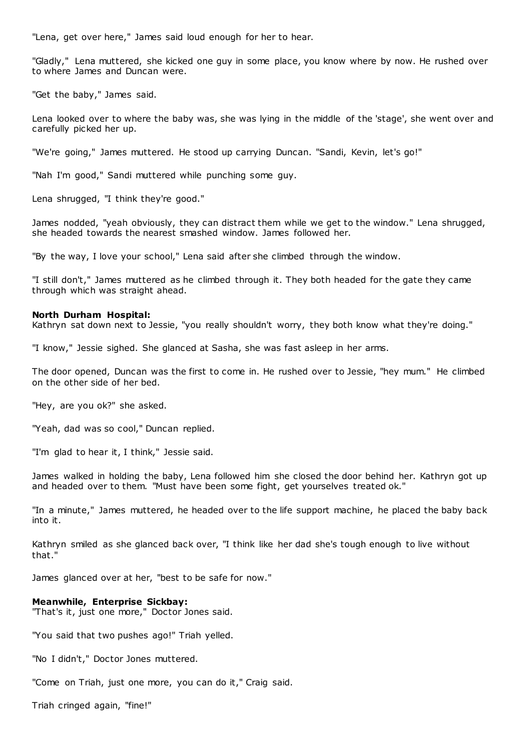"Lena, get over here," James said loud enough for her to hear.

"Gladly," Lena muttered, she kicked one guy in some place, you know where by now. He rushed over to where James and Duncan were.

"Get the baby," James said.

Lena looked over to where the baby was, she was lying in the middle of the 'stage', she went over and carefully picked her up.

"We're going," James muttered. He stood up carrying Duncan. "Sandi, Kevin, let's go!"

"Nah I'm good," Sandi muttered while punching some guy.

Lena shrugged, "I think they're good."

James nodded, "yeah obviously, they can distract them while we get to the window." Lena shrugged, she headed towards the nearest smashed window. James followed her.

"By the way, I love your school," Lena said after she climbed through the window.

"I still don't," James muttered as he climbed through it. They both headed for the gate they came through which was straight ahead.

# **North Durham Hospital:**

Kathryn sat down next to Jessie, "you really shouldn't worry, they both know what they're doing."

"I know," Jessie sighed. She glanced at Sasha, she was fast asleep in her arms.

The door opened, Duncan was the first to come in. He rushed over to Jessie, "hey mum." He climbed on the other side of her bed.

"Hey, are you ok?" she asked.

"Yeah, dad was so cool," Duncan replied.

"I'm glad to hear it, I think," Jessie said.

James walked in holding the baby, Lena followed him she closed the door behind her. Kathryn got up and headed over to them. "Must have been some fight, get yourselves treated ok."

"In a minute," James muttered, he headed over to the life support machine, he placed the baby back into it.

Kathryn smiled as she glanced back over, "I think like her dad she's tough enough to live without that."

James glanced over at her, "best to be safe for now."

# **Meanwhile, Enterprise Sickbay:**

"That's it, just one more," Doctor Jones said.

"You said that two pushes ago!" Triah yelled.

"No I didn't," Doctor Jones muttered.

"Come on Triah, just one more, you can do it," Craig said.

Triah cringed again, "fine!"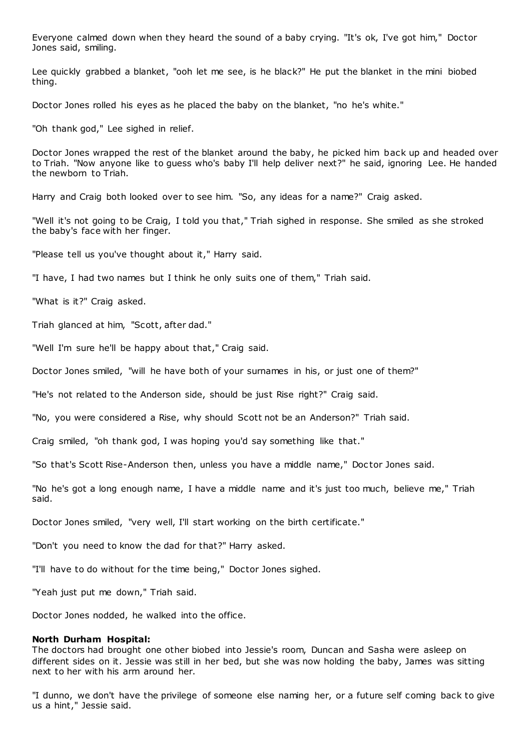Everyone calmed down when they heard the sound of a baby crying. "It's ok, I've got him," Doctor Jones said, smiling.

Lee quickly grabbed a blanket, "ooh let me see, is he black?" He put the blanket in the mini biobed thing.

Doctor Jones rolled his eyes as he placed the baby on the blanket, "no he's white."

"Oh thank god," Lee sighed in relief.

Doctor Jones wrapped the rest of the blanket around the baby, he picked him back up and headed over to Triah. "Now anyone like to guess who's baby I'll help deliver next?" he said, ignoring Lee. He handed the newborn to Triah.

Harry and Craig both looked over to see him. "So, any ideas for a name?" Craig asked.

"Well it's not going to be Craig, I told you that," Triah sighed in response. She smiled as she stroked the baby's face with her finger.

"Please tell us you've thought about it," Harry said.

"I have, I had two names but I think he only suits one of them," Triah said.

"What is it?" Craig asked.

Triah glanced at him, "Scott, after dad."

"Well I'm sure he'll be happy about that," Craig said.

Doctor Jones smiled, "will he have both of your surnames in his, or just one of them?"

"He's not related to the Anderson side, should be just Rise right?" Craig said.

"No, you were considered a Rise, why should Scott not be an Anderson?" Triah said.

Craig smiled, "oh thank god, I was hoping you'd say something like that."

"So that's Scott Rise-Anderson then, unless you have a middle name," Doc tor Jones said.

"No he's got a long enough name, I have a middle name and it's just too much, believe me," Triah said.

Doctor Jones smiled, "very well, I'll start working on the birth certificate."

"Don't you need to know the dad for that?" Harry asked.

"I'll have to do without for the time being," Doctor Jones sighed.

"Yeah just put me down," Triah said.

Doctor Jones nodded, he walked into the office.

### **North Durham Hospital:**

The doctors had brought one other biobed into Jessie's room, Duncan and Sasha were asleep on different sides on it. Jessie was still in her bed, but she was now holding the baby, James was sitting next to her with his arm around her.

"I dunno, we don't have the privilege of someone else naming her, or a future self coming back to give us a hint," Jessie said.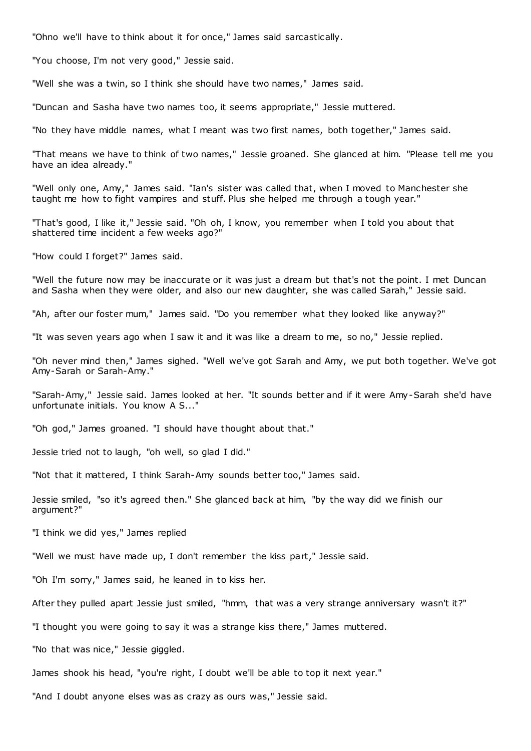"Ohno we'll have to think about it for once," James said sarcastically.

"You choose, I'm not very good," Jessie said.

"Well she was a twin, so I think she should have two names," James said.

"Duncan and Sasha have two names too, it seems appropriate," Jessie muttered.

"No they have middle names, what I meant was two first names, both together," James said.

"That means we have to think of two names," Jessie groaned. She glanced at him. "Please tell me you have an idea already."

"Well only one, Amy," James said. "Ian's sister was called that, when I moved to Manchester she taught me how to fight vampires and stuff. Plus she helped me through a tough year."

"That's good, I like it," Jessie said. "Oh oh, I know, you remember when I told you about that shattered time incident a few weeks ago?"

"How could I forget?" James said.

"Well the future now may be inaccurate or it was just a dream but that's not the point. I met Duncan and Sasha when they were older, and also our new daughter, she was called Sarah," Jessie said.

"Ah, after our foster mum," James said. "Do you remember what they looked like anyway?"

"It was seven years ago when I saw it and it was like a dream to me, so no," Jessie replied.

"Oh never mind then," James sighed. "Well we've got Sarah and Amy, we put both together. We've got Amy-Sarah or Sarah-Amy."

"Sarah-Amy," Jessie said. James looked at her. "It sounds better and if it were Amy-Sarah she'd have unfortunate initials. You know A S..."

"Oh god," James groaned. "I should have thought about that."

Jessie tried not to laugh, "oh well, so glad I did."

"Not that it mattered, I think Sarah-Amy sounds better too," James said.

Jessie smiled, "so it's agreed then." She glanced back at him, "by the way did we finish our argument?"

"I think we did yes," James replied

"Well we must have made up, I don't remember the kiss part," Jessie said.

"Oh I'm sorry," James said, he leaned in to kiss her.

After they pulled apart Jessie just smiled, "hmm, that was a very strange anniversary wasn't it?"

"I thought you were going to say it was a strange kiss there," James muttered.

"No that was nice," Jessie giggled.

James shook his head, "you're right, I doubt we'll be able to top it next year."

"And I doubt anyone elses was as crazy as ours was," Jessie said.